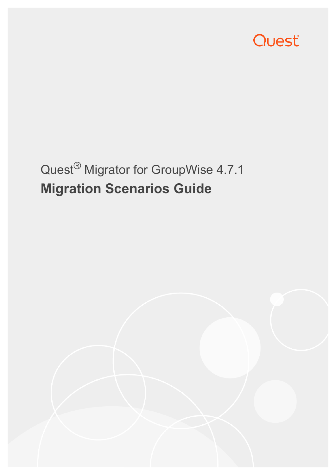

# Quest® Migrator for GroupWise 4.7.1 **Migration Scenarios Guide**

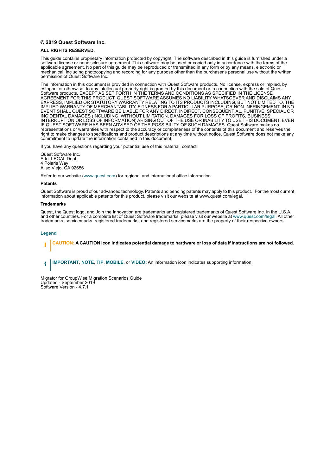#### **© 2019 Quest Software Inc.**

#### **ALL RIGHTS RESERVED.**

This guide contains proprietary information protected by copyright. The software described in this guide is furnished under a software license or nondisclosure agreement. This software may be used or copied only in accordance with the terms of the applicable agreement. No part of this guide may be reproduced or transmitted in any form or by any means, electronic or mechanical, including photocopying and recording for any purpose other than the purchaser's personal use without the written permission of Quest Software Inc.

The information in this document is provided in connection with Quest Software products. No license, express or implied, by estoppel or otherwise, to any intellectual property right is granted by this document or in connection with the sale of Quest<br>Software products. EXCEPT AS SET FORTH IN THE TERMS AND CONDITIONS AS SPECIFIED IN THE LICENSE<br>A EXPRESS, IMPLIED OR STATUTORY WARRANTY RELATING TO ITS PRODUCTS INCLUDING, BUT NOT LIMITED TO, THE IMPLIED WARRANTY OF MERCHANTABILITY, FITNESS FOR A PARTICULAR PURPOSE, OR NON-INFRINGEMENT. IN NO EVENT SHALL QUEST SOFTWARE BE LIABLE FOR ANY DIRECT, INDIRECT, CONSEQUENTIAL, PUNITIVE, SPECIAL OR INCIDENTAL DAMAGES (INCLUDING, WITHOUT LIMITATION, DAMAGES FOR LOSS OF PROFITS, BUSINESS<br>INTERRUPTION OR LOSS OF INFORMATION) ARISING OUT OF THE USE OR INABILITY TO USE THIS DOCUMENT, EVEN IF QUEST SOFTWARE HAS BEEN ADVISED OF THE POSSIBILITY OF SUCH DAMAGES. Quest Software makes no representations or warranties with respect to the accuracy or completeness of the contents of this document and reserves the right to make changes to specifications and product descriptions at any time without notice. Quest Software does not make any commitment to update the information contained in this document.

If you have any questions regarding your potential use of this material, contact:

Quest Software Inc. Attn: LEGAL Dept. 4 Polaris Way Aliso Viejo, CA 92656

Refer to our website [\(www.quest.com](http://www.quest.com)) for regional and international office information.

#### **Patents**

Quest Software is proud of our advanced technology. Patents and pending patents may apply to this product. For the most current information about applicable patents for this product, please visit our website at www.quest.com/legal.

#### **Trademarks**

Quest, the Quest logo, and Join the Innovation are trademarks and registered trademarks of Quest Software Inc. in the U.S.A. and other countries. For a complete list of Quest Software trademarks, please visit our website at [www.quest.com/legal](http://www.quest.com/legal). All other trademarks, servicemarks, registered trademarks, and registered servicemarks are the property of their respective owners.

#### **Legend**

**CAUTION: A CAUTION icon indicates potential damage to hardware or loss of data if instructions are not followed.** ţ

**IMPORTANT**, **NOTE**, **TIP**, **MOBILE**, or **VIDEO:** An information icon indicates supporting information.i

Migrator for GroupWise Migration Scenarios Guide Updated - September 2019 Software Version - 4.7.1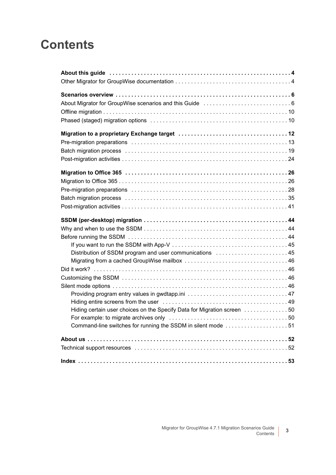## **Contents**

| Distribution of SSDM program and user communications  45                |
|-------------------------------------------------------------------------|
|                                                                         |
|                                                                         |
|                                                                         |
|                                                                         |
|                                                                         |
|                                                                         |
| Hiding certain user choices on the Specify Data for Migration screen 50 |
|                                                                         |
| Command-line switches for running the SSDM in silent mode 51            |
|                                                                         |
|                                                                         |
|                                                                         |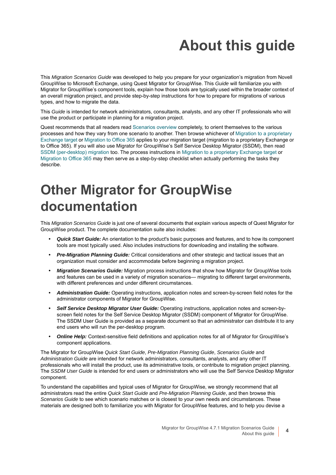# **About this guide**

<span id="page-3-0"></span>This *Migration Scenarios Guide* was developed to help you prepare for your organization's migration from Novell GroupWise to Microsoft Exchange, using Quest Migrator for GroupWise. This *Guide* will familiarize you with Migrator for GroupWise's component tools, explain how those tools are typically used within the broader context of an overall migration project, and provide step-by-step instructions for how to prepare for migrations of various types, and how to migrate the data.

This *Guide* is intended for network administrators, consultants, analysts, and any other IT professionals who will use the product or participate in planning for a migration project.

Quest recommends that all readers read [Scenarios overview](#page-5-2) completely, to orient themselves to the various processes and how they vary from one scenario to another. Then browse whichever of [Migration to a proprietary](#page-11-1)  [Exchange target](#page-11-1) or [Migration to Office 365](#page-25-2) applies to your migration target (migration to a proprietary Exchange or to Office 365). If you will also use Migrator for GroupWise's Self Service Desktop Migrator (SSDM), then read [SSDM \(per-desktop\) migration](#page-43-3) too. The process instructions in [Migration to a proprietary Exchange target](#page-11-1) or [Migration to Office 365](#page-25-2) may then serve as a step-by-step checklist when actually performing the tasks they describe.

## <span id="page-3-1"></span>**Other Migrator for GroupWise documentation**

This *Migration Scenarios Guide* is just one of several documents that explain various aspects of Quest Migrator for GroupWise product. The complete documentation suite also includes:

- **•** *Quick Start Guide:* An orientation to the product's basic purposes and features, and to how its component tools are most typically used. Also includes instructions for downloading and installing the software.
- **•** *Pre-Migration Planning Guide:* Critical considerations and other strategic and tactical issues that an organization must consider and accommodate before beginning a migration project.
- **•** *Migration Scenarios Guide:* Migration process instructions that show how Migrator for GroupWise tools and features can be used in a variety of migration scenarios— migrating to different target environments, with different preferences and under different circumstances.
- **•** *Administration Guide:* Operating instructions, application notes and screen-by-screen field notes for the administrator components of Migrator for GroupWise.
- **•** *Self Service Desktop Migrator User Guide:* Operating instructions, application notes and screen-byscreen field notes for the Self Service Desktop Migrator (SSDM) component of Migrator for GroupWise. The SSDM User Guide is provided as a separate document so that an administrator can distribute it to any end users who will run the per-desktop program.
- **•** *Online Help:* Context-sensitive field definitions and application notes for all of Migrator for GroupWise's component applications.

The Migrator for GroupWise *Quick Start Guide*, *Pre-Migration Planning Guide*, *Scenarios Guide* and *Administration Guide* are intended for network administrators, consultants, analysts, and any other IT professionals who will install the product, use its administrative tools, or contribute to migration project planning. The *SSDM User Guide* is intended for end users or administrators who will use the Self Service Desktop Migrator component.

To understand the capabilities and typical uses of Migrator for GroupWise, we strongly recommend that all administrators read the entire *Quick Start Guide* and *Pre-Migration Planning Guide*, and then browse this *Scenarios Guide* to see which scenario matches or is closest to your own needs and circumstances. These materials are designed both to familiarize you with Migrator for GroupWise features, and to help you devise a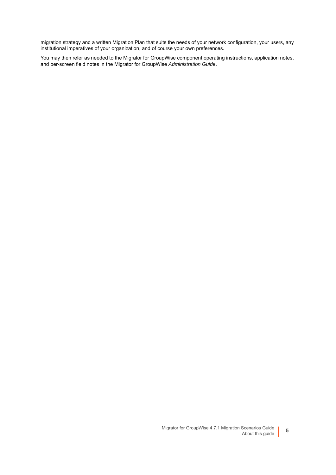migration strategy and a written Migration Plan that suits the needs of your network configuration, your users, any institutional imperatives of your organization, and of course your own preferences.

You may then refer as needed to the Migrator for GroupWise component operating instructions, application notes, and per-screen field notes in the Migrator for GroupWise *Administration Guide*.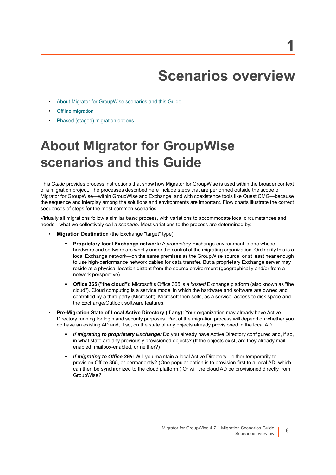## <span id="page-5-2"></span>**Scenarios overview**

**1**

- <span id="page-5-0"></span>**•** [About Migrator for GroupWise scenarios and this Guide](#page-5-1)
- **•** [Offline migration](#page-9-0)
- **•** [Phased \(staged\) migration options](#page-9-1)

## <span id="page-5-1"></span>**About Migrator for GroupWise scenarios and this Guide**

This *Guide* provides process instructions that show how Migrator for GroupWise is used within the broader context of a migration project. The processes described here include steps that are performed outside the scope of Migrator for GroupWise—within GroupWise and Exchange, and with coexistence tools like Quest CMG—because the sequence and interplay among the solutions and environments are important. Flow charts illustrate the correct sequences of steps for the most common scenarios.

Virtually all migrations follow a similar *basic* process, with variations to accommodate local circumstances and needs—what we collectively call a *scenario*. Most variations to the process are determined by:

- **Migration Destination** (the Exchange "target" type):
	- **Proprietary local Exchange network:** A *proprietary* Exchange environment is one whose hardware and software are wholly under the control of the migrating organization. Ordinarily this is a local Exchange network—on the same premises as the GroupWise source, or at least near enough to use high-performance network cables for data transfer. But a proprietary Exchange server may reside at a physical location distant from the source environment (geographically and/or from a network perspective).
	- **Office 365 ("the cloud"):** Microsoft's Office 365 is a *hosted* Exchange platform (also known as "the cloud"). Cloud computing is a service model in which the hardware and software are owned and controlled by a third party (Microsoft). Microsoft then sells, as a service, access to disk space and the Exchange/Outlook software features.
- **Pre-Migration State of Local Active Directory (if any):** Your organization may already have Active Directory running for login and security purposes. Part of the migration process will depend on whether you do have an existing AD and, if so, on the state of any objects already provisioned in the local AD.
	- **▪** *If migrating to proprietary Exchange:* Do you already have Active Directory configured and, if so, in what state are any previously provisioned objects? (If the objects exist, are they already mailenabled, mailbox-enabled, or neither?)
	- **▪** *If migrating to Office 365:* Will you maintain a local Active Directory—either temporarily to provision Office 365, or permanently? (One popular option is to provision first to a local AD, which can then be synchronized to the cloud platform.) Or will the cloud AD be provisioned directly from GroupWise?

**6**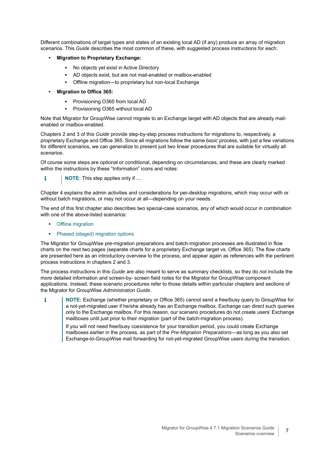Different combinations of target types and states of an existing local AD (if any) produce an array of migration scenarios. This *Guide* describes the most common of these, with suggested process instructions for each:

- **Migration to Proprietary Exchange:**
	- **▪** No objects yet exist in Active Directory
	- **▪** AD objects exist, but are not mail-enabled or mailbox-enabled
	- Offline migration—to proprietary but non-local Exchange
- **Migration to Office 365:**
	- **▪** Provisioning O365 from local AD
	- **▪** Provisioning O365 without local AD

Note that Migrator for GroupWise cannot migrate to an Exchange target with AD objects that are already mailenabled or mailbox-enabled.

Chapters 2 and 3 of this *Guide* provide step-by-step process instructions for migrations to, respectively, a proprietary Exchange and Office 365. Since all migrations follow the same *basic* process, with just a few variations for different scenarios, we can generalize to present just two linear procedures that are suitable for virtually all scenarios.

Of course some steps are optional or conditional, depending on circumstances, and these are clearly marked within the instructions by these "Information" icons and notes:

**NOTE:** This step applies only if .... ÷

Chapter 4 explains the admin activities and considerations for per-desktop migrations, which may occur with or without batch migrations, or may not occur at all—depending on your needs.

The end of this first chapter also describes two special-case scenarios, any of which would occur in combination with one of the above-listed scenarios:

- **•** [Offline migration](#page-9-0)
- **•** [Phased \(staged\) migration options](#page-9-1)

The Migrator for GroupWise pre-migration preparations and batch-migration processes are illustrated in flow charts on the next two pages (separate charts for a proprietary Exchange target vs. Office 365). The flow charts are presented here as an introductory overview to the process, and appear again as references with the pertinent process instructions in chapters 2 and 3.

The process instructions in this *Guide* are also meant to serve as summary checklists, so they do *not* include the more detailed information and screen-by- screen field notes for the Migrator for GroupWise component applications. Instead, these scenario procedures refer to those details within particular chapters and sections of the Migrator for GroupWise *Administration Guide*.

**NOTE:** Exchange (whether proprietary or Office 365) cannot send a free/busy query to GroupWise for f a not-yet-migrated user if he/she already has an Exchange mailbox. Exchange can direct such queries only to the Exchange mailbox. For this reason, our scenario procedures do not create users' Exchange mailboxes until just prior to their migration (part of the batch-migration process).

<span id="page-6-0"></span>If you will not need free/busy coexistence for your transition period, you could create Exchange mailboxes earlier in the process, as part of the *Pre-Migration Preparations*—as long as you also set Exchange-to-GroupWise mail forwarding for not-yet-migrated GroupWise users during the transition.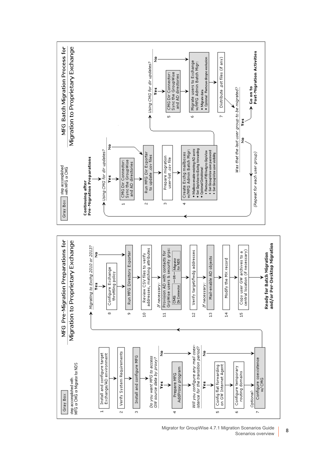<span id="page-7-0"></span>

Migrator for GroupWise 4.7.1 Migration Scenarios Guide Scenarios overview **<sup>8</sup>**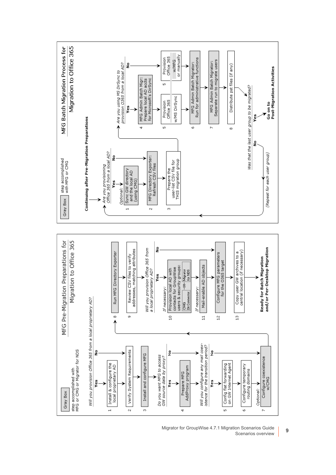

Migrator for GroupWise 4.7.1 Migration Scenarios Guide on Scenarios Guide<br>Scenarios overview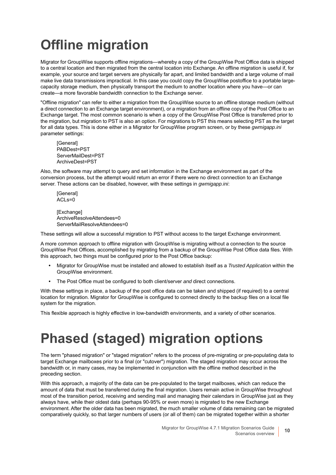# <span id="page-9-0"></span>**Offline migration**

<span id="page-9-3"></span>Migrator for GroupWise supports offline migrations—whereby a copy of the GroupWise Post Office data is shipped to a central location and then migrated from the central location into Exchange. An offline migration is useful if, for example, your source and target servers are physically far apart, and limited bandwidth and a large volume of mail make live data transmissions impractical. In this case you could copy the GroupWise postoffice to a portable largecapacity storage medium, then physically transport the medium to another location where you have—or can create—a more favorable bandwidth connection to the Exchange server.

"Offline migration" can refer to either a migration from the GroupWise source to an offline storage medium (without a direct connection to an Exchange target environment), or a migration from an offline copy of the Post Office to an Exchange target. The most common scenario is when a copy of the GroupWise Post Office is transferred prior to the migration, but migration to PST is also an option. For migrations to PST this means selecting PST as the target for all data types. This is done either in a Migrator for GroupWise program screen, or by these *gwmigapp.ini* parameter settings:

<span id="page-9-4"></span><span id="page-9-2"></span>[General] PABDest=PST ServerMailDest=PST ArchiveDest=PST

Also, the software may attempt to query and set information in the Exchange environment as part of the conversion process, but the attempt would return an error if there were no direct connection to an Exchange server. These actions can be disabled, however, with these settings in *gwmigapp.ini*:

**[General]** ACLs=0

[Exchange] ArchiveResolveAttendees=0 ServerMailResolveAttendees=0

These settings will allow a successful migration to PST without access to the target Exchange environment.

A more common approach to offline migration with GroupWise is migrating without a connection to the source GroupWise Post Offices, accomplished by migrating from a backup of the GroupWise Post Office data files. With this approach, two things must be configured prior to the Post Office backup:

- **•** Migrator for GroupWise must be installed and allowed to establish itself as a *Trusted Application* within the GroupWise environment.
- **•** The Post Office must be configured to both client/server *and* direct connections.

With these settings in place, a backup of the post office data can be taken and shipped (if required) to a central location for migration. Migrator for GroupWise is configured to connect directly to the backup files on a local file system for the migration.

This flexible approach is highly effective in low-bandwidth environments, and a variety of other scenarios.

## <span id="page-9-1"></span>**Phased (staged) migration options**

<span id="page-9-5"></span>The term "phased migration" or "staged migration" refers to the process of pre-migrating or pre-populating data to target Exchange mailboxes prior to a final (or "cutover") migration. The staged migration may occur across the bandwidth or, in many cases, may be implemented in conjunction with the offline method described in the preceding section.

With this approach, a majority of the data can be pre-populated to the target mailboxes, which can reduce the amount of data that must be transferred during the final migration. Users remain active in GroupWise throughout most of the transition period, receiving and sending mail and managing their calendars in GroupWise just as they always have, while their oldest data (perhaps 90-95% or even more) is migrated to the new Exchange environment. After the older data has been migrated, the much smaller volume of data remaining can be migrated comparatively quickly, so that larger numbers of users (or all of them) can be migrated together within a shorter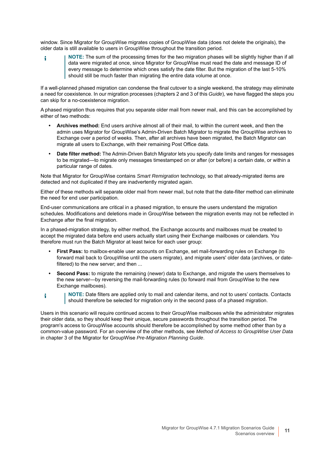window. Since Migrator for GroupWise migrates copies of GroupWise data (does not delete the originals), the older data is still available to users in GroupWise throughout the transition period.

**NOTE:** The sum of the processing times for the two migration phases will be slightly higher than if all ÷ data were migrated at once, since Migrator for GroupWise must read the date and message ID of every message to determine which ones satisfy the date filter. But the migration of the last 5-10% should still be much faster than migrating the entire data volume at once.

If a well-planned phased migration can condense the final cutover to a single weekend, the strategy may eliminate a need for coexistence. In our migration processes (chapters 2 and 3 of this *Guide*), we have flagged the steps you can skip for a no-coexistence migration.

A phased migration thus requires that you separate older mail from newer mail, and this can be accomplished by either of two methods:

- **Archives method:** End users archive almost all of their mail, to within the current week, and then the admin uses Migrator for GroupWise's Admin-Driven Batch Migrator to migrate the GroupWise archives to Exchange over a period of weeks. Then, after all archives have been migrated, the Batch Migrator can migrate all users to Exchange, with their remaining Post Office data.
- **Date filter method:** The Admin-Driven Batch Migrator lets you specify date limits and ranges for messages to be migrated—to migrate only messages timestamped on or after (or before) a certain date, or within a particular range of dates.

Note that Migrator for GroupWise contains *Smart Remigration* technology, so that already-migrated items are detected and not duplicated if they are inadvertently migrated again.

Either of these methods will separate older mail from newer mail, but note that the date-filter method can eliminate the need for end user participation.

End-user communications are critical in a phased migration, to ensure the users understand the migration schedules. Modifications and deletions made in GroupWise between the migration events may not be reflected in Exchange after the final migration.

In a phased-migration strategy, by either method, the Exchange accounts and mailboxes must be created to accept the migrated data before end users actually start using their Exchange mailboxes or calendars. You therefore must run the Batch Migrator at least twice for each user group:

- **First Pass:** to mailbox-enable user accounts on Exchange, set mail-forwarding rules on Exchange (to forward mail back to GroupWise until the users migrate), and migrate users' older data (archives, or datefiltered) to the new server: and then ...
- **Second Pass:** to migrate the remaining (newer) data to Exchange, and migrate the users themselves to the new server—by reversing the mail-forwarding rules (to forward mail from GroupWise to the new Exchange mailboxes).
- **NOTE:** Date filters are applied only to mail and calendar items, and not to users' contacts. Contacts î. should therefore be selected for migration only in the second pass of a phased migration.

Users in this scenario will require continued access to their GroupWise mailboxes while the administrator migrates their older data, so they should keep their unique, secure passwords throughout the transition period. The program's access to GroupWise accounts should therefore be accomplished by some method other than by a common-value password. For an overview of the other methods, see *Method of Access to GroupWise User Data* in chapter 3 of the Migrator for GroupWise *Pre-Migration Planning Guide*.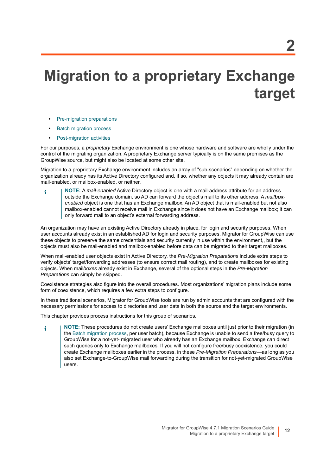# <span id="page-11-1"></span><span id="page-11-0"></span>**Migration to a proprietary Exchange target**

- **•** [Pre-migration preparations](#page-12-0)
- **•** [Batch migration process](#page-18-0)
- **•** [Post-migration activities](#page-23-0)

<span id="page-11-2"></span>For our purposes, a *proprietary* Exchange environment is one whose hardware and software are wholly under the control of the migrating organization. A proprietary Exchange server typically is on the same premises as the GroupWise source, but might also be located at some other site.

<span id="page-11-3"></span>Migration to a proprietary Exchange environment includes an array of "sub-scenarios" depending on whether the organization already has its Active Directory configured and, if so, whether any objects it may already contain are mail-enabled, or mailbox-enabled, or neither.

**NOTE:** A *mail-enabled* Active Directory object is one with a mail-address attribute for an address i outside the Exchange domain, so AD can forward the object's mail to its other address. A *mailboxenabled* object is one that has an Exchange mailbox. An AD object that is mail-enabled but not also mailbox-enabled cannot receive mail in Exchange since it does not have an Exchange mailbox; it can only forward mail to an object's external forwarding address.

An organization may have an existing Active Directory already in place, for login and security purposes. When user accounts already exist in an established AD for login and security purposes, Migrator for GroupWise can use these objects to preserve the same credentials and security currently in use within the environment,, but the objects must also be mail-enabled and mailbox-enabled before data can be migrated to their target mailboxes.

When mail-enabled user objects exist in Active Directory, the *Pre-Migration Preparations* include extra steps to verify objects' target/forwarding addresses (to ensure correct mail routing), and to create mailboxes for existing objects. When mail*boxes* already exist in Exchange, several of the optional steps in the *Pre-Migration Preparations* can simply be skipped.

Coexistence strategies also figure into the overall procedures. Most organizations' migration plans include some form of coexistence, which requires a few extra steps to configure.

In these traditional scenarios, Migrator for GroupWise tools are run by admin accounts that are configured with the necessary permissions for access to directories and user data in both the source and the target environments.

This chapter provides process instructions for this group of scenarios.

**NOTE:** These procedures do not create users' Exchange mailboxes until just prior to their migration (in i the [Batch migration process,](#page-18-0) per user batch), because Exchange is unable to send a free/busy query to GroupWise for a not-yet- migrated user who already has an Exchange mailbox. Exchange can direct such queries only to Exchange mailboxes. If you will not configure free/busy coexistence, you could create Exchange mailboxes earlier in the process, in these *Pre-Migration Preparations*—as long as you also set Exchange-to-GroupWise mail forwarding during the transition for not-yet-migrated GroupWise users.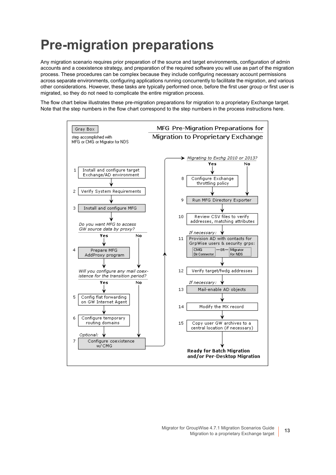## <span id="page-12-0"></span>**Pre-migration preparations**

Any migration scenario requires prior preparation of the source and target environments, configuration of admin accounts and a coexistence strategy, and preparation of the required software you will use as part of the migration process. These procedures can be complex because they include configuring necessary account permissions across separate environments, configuring applications running concurrently to facilitate the migration, and various other considerations. However, these tasks are typically performed once, before the first user group or first user is migrated, so they do not need to complicate the entire migration process.

The flow chart below illustrates these pre-migration preparations for migration to a proprietary Exchange target. Note that the step numbers in the flow chart correspond to the step numbers in the process instructions here.

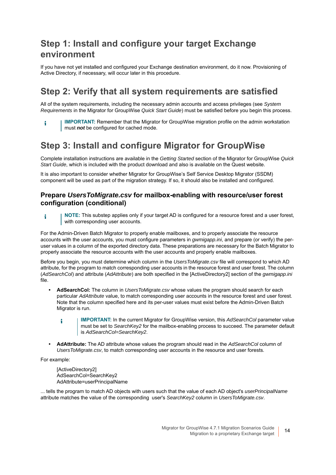## **Step 1: Install and configure your target Exchange environment**

If you have not yet installed and configured your Exchange destination environment, do it now. Provisioning of Active Directory, if necessary, will occur later in this procedure.

### **Step 2: Verify that all system requirements are satisfied**

<span id="page-13-0"></span>All of the system requirements, including the necessary admin accounts and access privileges (see *System Requirements* in the Migrator for GroupWise *Quick Start Guide*) must be satisfied before you begin this process.

**IMPORTANT:** Remember that the Migrator for GroupWise migration profile on the admin workstation ÷ must *not* be configured for cached mode.

## **Step 3: Install and configure Migrator for GroupWise**

Complete installation instructions are available in the *Getting Started* section of the Migrator for GroupWise *Quick Start Guide*, which is included with the product download and also is available on the Quest website.

It is also important to consider whether Migrator for GroupWise's Self Service Desktop Migrator (SSDM) component will be used as part of the migration strategy. If so, it should also be installed and configured.

#### **Prepare** *UsersToMigrate.csv* **for mailbox-enabling with resource/user forest configuration (conditional)**

**NOTE:** This substep applies only if your target AD is configured for a resource forest and a user forest, i with corresponding user accounts.

For the Admin-Driven Batch Migrator to properly enable mailboxes, and to properly associate the resource accounts with the user accounts, you must configure parameters in *gwmigapp.ini*, and prepare (or verify) the peruser values in a column of the exported directory data. These preparations are necessary for the Batch Migrator to properly associate the resource accounts with the user accounts and properly enable mailboxes.

Before you begin, you must determine which column in the *UsersToMigrate.csv* file will correspond to which AD attribute, for the program to match corresponding user accounts in the resource forest and user forest. The column (*AdSearchCol*) and attribute (*AdAttribute*) are both specified in the [ActiveDirectory2] section of the *gwmigapp.ini* file.

- **AdSearchCol:** The column in *UsersToMigrate.csv* whose values the program should search for each particular *AdAttribute* value, to match corresponding user accounts in the resource forest and user forest. Note that the column specified here and its per-user values must exist before the Admin-Driven Batch Migrator is run.
	- **IMPORTANT:** In the current Migrator for GroupWise version, this *AdSearchCol* parameter value f. must be set to *SearchKey2* for the mailbox-enabling process to succeed. The parameter default is *AdSearchCol=SearchKey2*.
- **AdAttribute:** The AD attribute whose values the program should read in the *AdSearchCol* column of *UsersToMigrate.csv*, to match corresponding user accounts in the resource and user forests.

For example:

[ActiveDirectory2] AdSearchCol=SearchKey2 AdAttribute=userPrincipalName

... tells the program to match AD objects with users such that the value of each AD object's *userPrincipalName* attribute matches the value of the corresponding user's *SearchKey2* column in *UsersToMigrate.csv*.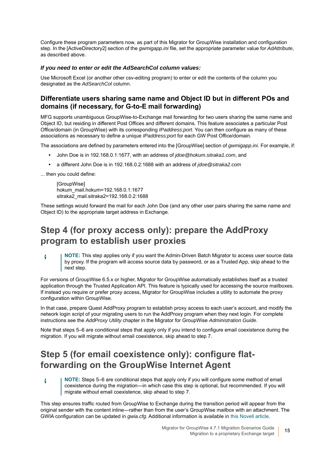Configure these program parameters now, as part of this Migrator for GroupWise installation and configuration step. In the [ActiveDirectory2] section of the *gwmigapp.ini* file, set the appropriate parameter value for *AdAttribute*, as described above.

#### *If you need to enter or edit the AdSearchCol column values:*

Use Microsoft Excel (or another other csv-editing program) to enter or edit the contents of the column you designated as the *AdSearchCol* column.

#### **Differentiate users sharing same name and Object ID but in different POs and domains (if necessary, for G-to-E mail forwarding)**

MFG supports unambiguous GroupWise-to-Exchange mail forwarding for two users sharing the same name and Object ID, but residing in different Post Offices and different domains. This feature associates a particular Post Office/domain (in GroupWise) with its corresponding *IPaddress:port*. You can then configure as many of these associations as necessary to define a unique *IPaddress:port* for each GW Post Office/domain.

The associations are defined by parameters entered into the [GroupWise] section of *gwmigapp.ini*. For example, if:

- **•** John Doe is in 192.168.0.1:1677, with an address of *jdoe@hokum.sitraka1.com*, and
- **•** a different John Doe is in 192.168.0.2:1688 with an address of *jdoe@sitraka2.com*

... then you could define:

f

**[GroupWise]** hokum\_mail.hokum=192.168.0.1:1677 sitraka2\_mail.sitraka2=192.168.0.2:1688

These settings would forward the mail for each John Doe (and any other user pairs sharing the same name and Object ID) to the appropriate target address in Exchange.

### **Step 4 (for proxy access only): prepare the AddProxy program to establish user proxies**

**NOTE:** This step applies only if you want the Admin-Driven Batch Migrator to access user source data i by proxy. If the program will access source data by password, or as a Trusted App, skip ahead to the next step.

For versions of GroupWise 6.5.x or higher, Migrator for GroupWise automatically establishes itself as a trusted application through the Trusted Application API. This feature is typically used for accessing the source mailboxes. If instead you require or prefer proxy access, Migrator for GroupWise includes a utility to automate the proxy configuration within GroupWise.

<span id="page-14-2"></span><span id="page-14-0"></span>In that case, prepare Quest AddProxy program to establish proxy access to each user's account, and modify the network login script of your migrating users to run the AddProxy program when they next login. For complete instructions see the *AddProxy Utility* chapter in the Migrator for GroupWise *Administration Guide*.

Note that steps 5–6 are conditional steps that apply only if you intend to configure email coexistence during the migration. If you will migrate without email coexistence, skip ahead to step 7.

## **Step 5 (for email coexistence only): configure flatforwarding on the GroupWise Internet Agent**

<span id="page-14-1"></span>**NOTE:** Steps 5–6 are conditional steps that apply only if you will configure some method of email coexistence during the migration—in which case this step is optional, but recommended. If you will migrate without email coexistence, skip ahead to step 7.

This step ensures traffic routed from GroupWise to Exchange during the transition period will appear from the original sender with the content inline—rather than from the user's GroupWise mailbox with an attachment. The GWIA configuration can be updated in *gwia.cfg*. Additional information is available in [this Novell article.](http://www.novell.com/support/php/search.do?cmd=displayKC&docType=kc&externalId=7002601)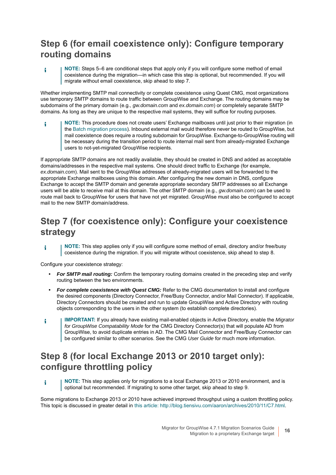## **Step 6 (for email coexistence only): Configure temporary routing domains**

**NOTE:** Steps 5–6 are conditional steps that apply only if you will configure some method of email f. coexistence during the migration—in which case this step is optional, but recommended. If you will migrate without email coexistence, skip ahead to step 7.

<span id="page-15-6"></span><span id="page-15-2"></span>Whether implementing SMTP mail connectivity or complete coexistence using Quest CMG, most organizations use temporary SMTP domains to route traffic between GroupWise and Exchange. The routing domains may be subdomains of the primary domain (e.g., *gw.domain.com* and *ex.domain.com*) or completely separate SMTP domains. As long as they are unique to the respective mail systems, they will suffice for routing purposes.

**NOTE:** This procedure does not create users' Exchange mailboxes until just prior to their migration (in ÷ the [Batch migration process](#page-18-0)). Inbound external mail would therefore never be routed to GroupWise, but mail coexistence does require a routing subdomain for GroupWise. Exchange-to-GroupWise routing will be necessary during the transition period to route internal mail sent from already-migrated Exchange users to not-yet-migrated GroupWise recipients.

<span id="page-15-5"></span>If appropriate SMTP domains are not readily available, they should be created in DNS and added as acceptable domains/addresses in the respective mail systems. One should direct traffic to Exchange (for example, *ex.domain.com*). Mail sent to the GroupWise addresses of already-migrated users will be forwarded to the appropriate Exchange mailboxes using this domain. After configuring the new domain in DNS, configure Exchange to accept the SMTP domain and generate appropriate secondary SMTP addresses so all Exchange users will be able to receive mail at this domain. The other SMTP domain (e.g., *gw.domain.com*) can be used to route mail back to GroupWise for users that have not yet migrated. GroupWise must also be configured to accept mail to the new SMTP domain/address.

## **Step 7 (for coexistence only): Configure your coexistence strategy**

**NOTE:** This step applies only if you will configure some method of email, directory and/or free/busy i coexistence during the migration. If you will migrate without coexistence, skip ahead to step 8.

Configure your coexistence strategy:

- <span id="page-15-7"></span><span id="page-15-1"></span>**•** *For SMTP mail routing:* Confirm the temporary routing domains created in the preceding step and verify routing between the two environments.
- <span id="page-15-4"></span><span id="page-15-0"></span>**•** *For complete coexistence with Quest CMG:* Refer to the CMG documentation to install and configure the desired components (Directory Connector, Free/Busy Connector, and/or Mail Connector). If applicable, Directory Connectors should be created and run to update GroupWise and Active Directory with routing objects corresponding to the users in the other system (to establish complete directories).
- **IMPORTANT:** If you already have existing mail-enabled objects in Active Directory, enable the *Migrator*  f. *for GroupWise Compatability Mode* for the CMG Directory Connector(s) that will populate AD from GroupWise, to avoid duplicate entries in AD. The CMG Mail Connector and Free/Busy Connector can be configured similar to other scenarios. See the CMG *User Guide* for much more information.

## <span id="page-15-3"></span>**Step 8 (for local Exchange 2013 or 2010 target only): configure throttling policy**

**NOTE:** This step applies only for migrations to a local Exchange 2013 or 2010 environment, and is i optional but recommended. If migrating to some other target, skip ahead to step 9.

Some migrations to Exchange 2013 or 2010 have achieved improved throughput using a custom throttling policy. This topic is discussed in greater detail in [this article: http://blog.tiensivu.com/aaron/archives/2010/11/C7.html.](http://blog.tiensivu.com/aaron/archives/2010/11/C7.html)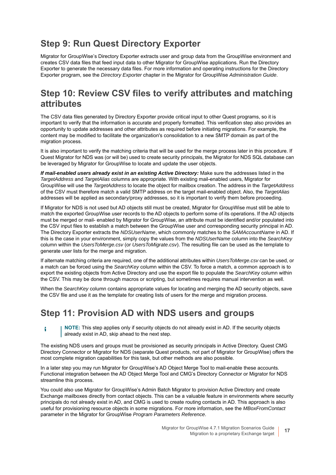## **Step 9: Run Quest Directory Exporter**

<span id="page-16-2"></span><span id="page-16-0"></span>Migrator for GroupWise's Directory Exporter extracts user and group data from the GroupWise environment and creates CSV data files that feed input data to other Migrator for GroupWise applications. Run the Directory Exporter to generate the necessary data files. For more information and operating instructions for the Directory Exporter program, see the *Directory Exporter* chapter in the Migrator for GroupWise *Administration Guide*.

## **Step 10: Review CSV files to verify attributes and matching attributes**

<span id="page-16-1"></span>The CSV data files generated by Directory Exporter provide critical input to other Quest programs, so it is important to verify that the information is accurate and properly formatted. This verification step also provides an opportunity to update addresses and other attributes as required before initiating migrations. For example, the content may be modified to facilitate the organization's consolidation to a new SMTP domain as part of the migration process.

It is also important to verify the matching criteria that will be used for the merge process later in this procedure. If Quest Migrator for NDS was (or will be) used to create security principals, the Migrator for NDS SQL database can be leveraged by Migrator for GroupWise to locate and update the user objects.

<span id="page-16-11"></span><span id="page-16-10"></span>*If mail-enabled users already exist in an existing Active Directory:* Make sure the addresses listed in the *TargetAddress* and *TargetAlias* columns are appropriate. With existing mail-enabled users, Migrator for GroupWise will use the *TargetAddress* to locate the object for mailbox creation. The address in the *TargetAddress* of the CSV must therefore match a valid SMTP address on the target mail-enabled object. Also, the *TargetAlias* addresses will be applied as secondary/proxy addresses, so it is important to verify them before proceeding.

<span id="page-16-8"></span><span id="page-16-4"></span>If Migrator for NDS is not used but AD objects still must be created, Migrator for GroupWise must still be able to match the exported GroupWise user records to the AD objects to perform some of its operations. If the AD objects must be merged or mail- enabled by Migrator for GroupWise, an attribute must be identified and/or populated into the CSV input files to establish a match between the GroupWise user and corresponding security principal in AD. The Directory Exporter extracts the *NDSUserName*, which commonly matches to the *SAMAccountName* in AD. If this is the case in your environment, simply copy the values from the *NDSUserName* column into the *SearchKey* column within the *UsersToMerge.csv* (or *UsersToMigrate.csv*). The resulting file can be used as the template to generate user lists for the merge and migration.

<span id="page-16-13"></span><span id="page-16-12"></span><span id="page-16-9"></span><span id="page-16-5"></span>If alternate matching criteria are required, one of the additional attributes within *UsersToMerge.csv* can be used, or a match can be forced using the *SearchKey* column within the CSV. To force a match, a common approach is to export the existing objects from Active Directory and use the export file to populate the *SearchKey* column within the CSV. This may be done through macros or scripting, but sometimes requires manual intervention as well.

When the *SearchKey* column contains appropriate values for locating and merging the AD security objects, save the CSV file and use it as the template for creating lists of users for the merge and migration process.

## <span id="page-16-6"></span>**Step 11: Provision AD with NDS users and groups**

<span id="page-16-7"></span>**NOTE:** This step applies only if security objects do not already exist in AD. If the security objects f. already exist in AD, skip ahead to the next step.

The existing NDS users and groups must be provisioned as security principals in Active Directory. Quest CMG Directory Connector or Migrator for NDS (separate Quest products, not part of Migrator for GroupWise) offers the most complete migration capabilities for this task, but other methods are also possible.

In a later step you may run Migrator for GroupWise's AD Object Merge Tool to mail-enable these accounts. Functional integration between the AD Object Merge Tool and CMG's Directory Connector or Migrator for NDS streamline this process.

<span id="page-16-3"></span>You could also use Migrator for GroupWise's Admin Batch Migrator to provision Active Directory and create Exchange mailboxes directly from contact objects. This can be a valuable feature in environments where security principals do not already exist in AD, and CMG is used to create routing contacts in AD. This approach is also useful for provisioning resource objects in some migrations. For more information, see the *MBoxFromContact* parameter in the Migrator for GroupWise *Program Parameters Reference*.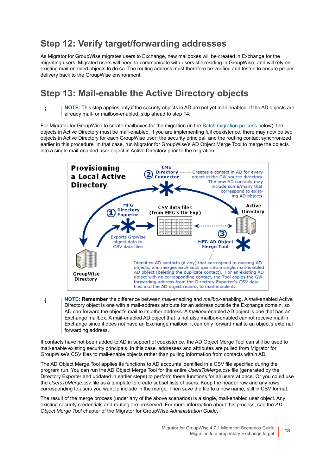## **Step 12: Verify target/forwarding addresses**

As Migrator for GroupWise migrates users to Exchange, new mailboxes will be created in Exchange for the migrating users. Migrated users will need to communicate with users still residing in GroupWise, and will rely on existing mail-enabled objects to do so. The routing address must therefore be verified and tested to ensure proper delivery back to the GroupWise environment.

### **Step 13: Mail-enable the Active Directory objects**

**NOTE:** This step applies only if the security objects in AD are not yet mail-enabled. If the AD objects are i already mail- or mailbox-enabled, skip ahead to step 14.

<span id="page-17-1"></span>For Migrator for GroupWise to create mailboxes for the migration (in the [Batch migration process](#page-18-0) below), the objects in Active Directory must be mail-enabled. If you are implementing full coexistence, there may now be two objects in Active Directory for each GroupWise user: the security principal, and the routing contact synchronized earlier in this procedure. In that case, run Migrator for GroupWise's AD Object Merge Tool to merge the objects into a single mail-enabled user object in Active Directory prior to the migration.

<span id="page-17-2"></span><span id="page-17-0"></span>

**NOTE: Remember** the difference between *mail*-enabling and *mailbox*-enabling. A *mail*-enabled Active i Directory object is one with a mail-address attribute for an address outside the Exchange domain, so AD can forward the object's mail to its other address. A *mailbox*-enabled AD object is one that has an Exchange mailbox. A mail-enabled AD object that is not also mailbox-enabled cannot receive mail in Exchange since it does not have an Exchange mailbox; it can only forward mail to an object's external forwarding address.

If contacts have not been added to AD in support of coexistence, the AD Object Merge Tool can still be used to mail-enable existing security principals. In this case, addresses and attributes are pulled from Migrator for GroupWise's CSV files to mail-enable objects rather than pulling information from contacts within AD.

<span id="page-17-3"></span>The AD Object Merge Tool applies its functions to AD accounts identified in a CSV file specified during the program run. You can run the AD Object Merge Tool for the entire *UsersToMerge.csv* file (generated by the Directory Exporter and updated in earlier steps) to perform these functions for all users at once. Or you could use the *UsersToMerge.csv* file as a template to create subset lists of users. Keep the header row and any rows corresponding to users you want to include in the merge. Then save the file to a new name, still in CSV format.

The result of the merge process (under any of the above scenarios) is a single, mail-enabled user object. Any existing security credentials and routing are preserved. For more information about this process, see the *AD Object Merge Tool* chapter of the Migrator for GroupWise *Administration Guide*.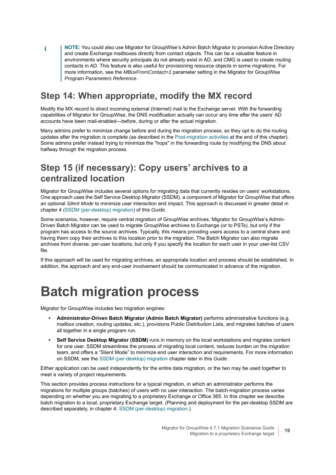<span id="page-18-2"></span>**NOTE:** You could also use Migrator for GroupWise's Admin Batch Migrator to provision Active Directory and create Exchange mailboxes directly from contact objects. This can be a valuable feature in environments where security principals do not already exist in AD, and CMG is used to create routing contacts in AD. This feature is also useful for provisioning resource objects in some migrations. For more information, see the *MBoxFromContact=1* parameter setting in the Migrator for GroupWise *Program Parameters Reference*.

## **Step 14: When appropriate, modify the MX record**

<span id="page-18-3"></span>Modify the MX record to direct incoming external (Internet) mail to the Exchange server. With the forwarding capabilities of Migrator for GroupWise, the DNS modification actually can occur any time after the users' AD accounts have been mail-enabled—before, during or after the actual migration.

Many admins prefer to minimize change before and during the migration process, so they opt to do the routing updates after the migration is complete (as described in the [Post-migration activities](#page-23-0) at the end of this chapter). Some admins prefer instead trying to minimize the "hops" in the forwarding route by modifying the DNS about halfway through the migration process.

## **Step 15 (if necessary): Copy users' archives to a centralized location**

<span id="page-18-4"></span>Migrator for GroupWise includes several options for migrating data that currently resides on users' workstations. One approach uses the Self Service Desktop Migrator (SSDM), a component of Migrator for GroupWise that offers an optional *Silent Mode* to minimize user interaction and impact. This approach is discussed in greater detail in chapter 4 ([SSDM \(per-desktop\) migration](#page-43-3)) of this *Guide*.

<span id="page-18-1"></span>Some scenarios, however, require central migration of GroupWise archives. Migrator for GroupWise's Admin-Driven Batch Migrator can be used to migrate GroupWise archives to Exchange (or to PSTs), but only if the program has access to the source archives. Typically, this means providing users access to a central share and having them copy their archives to this location prior to the migration. The Batch Migrator can also migrate archives from diverse, per-user locations, but only if you specify the location for each user in your user-list CSV file.

<span id="page-18-5"></span>If this approach will be used for migrating archives, an appropriate location and process should be established. In addition, the approach and any end-user involvement should be communicated in advance of the migration.

## <span id="page-18-0"></span>**Batch migration process**

Migrator for GroupWise includes two migration engines:

f.

- **Administrator-Driven Batch Migrator (Admin Batch Migrator)** performs administrative functions (e.g. mailbox creation, routing updates, etc.), provisions Public Distribution Lists, and migrates batches of users all together in a single program run.
- **Self Service Desktop Migrator (SSDM)** runs in memory on the local workstations and migrates content for one user. SSDM streamlines the process of migrating local content, reduces burden on the migration team, and offers a "Silent Mode" to minimize end user interaction and requirements. For more information on SSDM, see the [SSDM \(per-desktop\) migration](#page-43-3) chapter later in this *Guide*.

Either application can be used independently for the entire data migration, or the two may be used together to meet a variety of project requirements.

This section provides process instructions for a typical migration, in which an administrator performs the migrations for multiple groups (batches) of users with no user interaction. The batch-migration process varies depending on whether you are migrating to a proprietary Exchange or Office 365. In this chapter we describe batch migration to a local, proprietary Exchange target. (Planning and deployment for the per-desktop SSDM are described separately, in chapter 4: [SSDM \(per-desktop\) migration.](#page-43-3))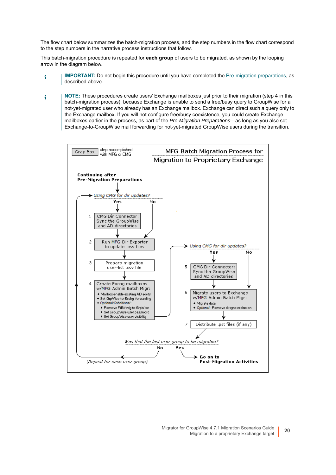The flow chart below summarizes the batch-migration process, and the step numbers in the flow chart correspond to the step numbers in the narrative process instructions that follow.

This batch-migration procedure is repeated for **each group** of users to be migrated, as shown by the looping arrow in the diagram below.

- **IMPORTANT:** Do not begin this procedure until you have completed the [Pre-migration preparations](#page-12-0), as i described above.
- **NOTE:** These procedures create users' Exchange mailboxes just prior to their migration (step 4 in this i batch-migration process), because Exchange is unable to send a free/busy query to GroupWise for a not-yet-migrated user who already has an Exchange mailbox. Exchange can direct such a query only to the Exchange mailbox. If you will not configure free/busy coexistence, you could create Exchange mailboxes earlier in the process, as part of the *Pre-Migration Preparations*—as long as you also set Exchange-to-GroupWise mail forwarding for not-yet-migrated GroupWise users during the transition.

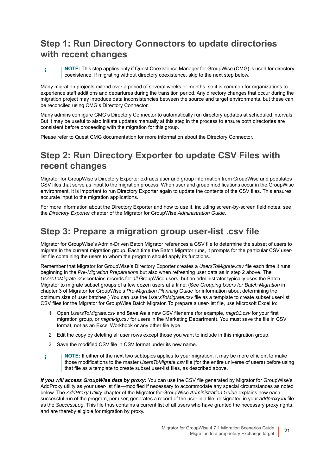## **Step 1: Run Directory Connectors to update directories with recent changes**

**NOTE:** This step applies only if Quest Coexistence Manager for GroupWise (CMG) is used for directory i coexistence. If migrating without directory coexistence, skip to the next step below.

Many migration projects extend over a period of several weeks or months, so it is common for organizations to experience staff additions and departures during the transition period. Any directory changes that occur during the migration project may introduce data inconsistencies between the source and target environments, but these can be reconciled using CMG's Directory Connector.

Many admins configure CMG's Directory Connector to automatically run directory updates at scheduled intervals. But it may be useful to also initiate updates manually at this step in the process to ensure both directories are consistent before proceeding with the migration for this group.

<span id="page-20-2"></span>Please refer to Quest CMG documentation for more information about the Directory Connector.

## **Step 2: Run Directory Exporter to update CSV Files with recent changes**

<span id="page-20-3"></span>Migrator for GroupWise's Directory Exporter extracts user and group information from GroupWise and populates CSV files that serve as input to the migration process. When user and group modifications occur in the GroupWise environment, it is important to run Directory Exporter again to update the contents of the CSV files. This ensures accurate input to the migration applications.

For more information about the Directory Exporter and how to use it, including screen-by-screen field notes, see the *Directory Exporter* chapter of the Migrator for GroupWise *Administration Guide*.

### **Step 3: Prepare a migration group user-list .csv file**

<span id="page-20-4"></span>Migrator for GroupWise's Admin-Driven Batch Migrator references a CSV file to determine the subset of users to migrate in the current migration group. Each time the Batch Migrator runs, it prompts for the particular CSV userlist file containing the users to whom the program should apply its functions.

Remember that Migrator for GroupWise's Directory Exporter creates a *UsersToMigrate.csv* file each time it runs, beginning in the *Pre-Migration Preparations* but also when refreshing user data as in step 2 above. The *UsersToMigrate.csv* contains records for *all* GroupWise users, but an administrator typically uses the Batch Migrator to migrate subset groups of a few dozen users at a time. (See *Grouping Users for Batch Migration* in chapter 3 of Migrator for GroupWise's *Pre-Migration Planning Guide* for information about determining the optimum size of user batches.) You can use the *UsersToMigrate.csv* file as a template to create subset user-list CSV files for the Migrator for GroupWise Batch Migrator. To prepare a user-list file, use Microsoft Excel to:

- <span id="page-20-7"></span>1 Open *UsersToMigrate.csv* and **Save As** a new CSV filename (for example, *migr01.csv* for your first migration group, or *migmktg.csv* for users in the Marketing Department). You must save the file in CSV format, not as an Excel Workbook or any other file type.
- 2 Edit the copy by deleting all user rows except those you want to include in this migration group.
- <span id="page-20-5"></span><span id="page-20-1"></span>3 Save the modified CSV file in CSV format under its new name.
- **NOTE:** If either of the next two subtopics applies to your migration, it may be more efficient to make i those modifications to the master *UsersToMigrate.csv* file (for the entire universe of users) before using that file as a template to create subset user-list files, as described above.

<span id="page-20-6"></span><span id="page-20-0"></span>*If you will access GroupWise data by proxy:* You can use the CSV file generated by Migrator for GroupWise's AddProxy utility as your user-list file—modified if necessary to accommodate any special circumstances as noted below. The *AddProxy Utility* chapter of the Migrator for GroupWise *Administration Guide* explains how each successful run of the program, per user, generates a record of the user in a file, designated in your *addproxy.ini* file as the *SuccessLog*. This file thus contains a current list of all users who have granted the necessary proxy rights, and are thereby eligible for migration by proxy.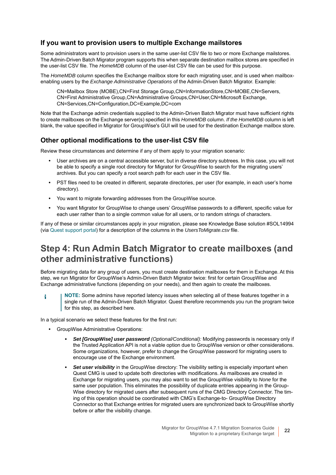#### <span id="page-21-1"></span>**If you want to provision users to multiple Exchange mailstores**

Some administrators want to provision users in the same user-list CSV file to two or more Exchange mailstores. The Admin-Driven Batch Migrator program supports this when separate destination mailbox stores are specified in the user-list CSV file. The *HomeMDB* column of the user-list CSV file can be used for this purpose.

The *HomeMDB* column specifies the Exchange mailbox store for each migrating user, and is used when mailboxenabling users by the *Exchange Administrative Operations* of the Admin-Driven Batch Migrator. Example:

<span id="page-21-0"></span>CN=Mailbox Store (MOBE),CN=First Storage Group,CN=InformationStore,CN=MOBE,CN=Servers, CN=First Administrative Group,CN=Administrative Groups,CN=User,CN=Microsoft Exchange, CN=Services,CN=Configuration,DC=Example,DC=com

Note that the Exchange admin credentials supplied to the Admin-Driven Batch Migrator must have sufficient rights to create mailboxes on the Exchange server(s) specified in this *HomeMDB* column. *If the HomeMDB* column is left blank, the value specified in Migrator for GroupWise's GUI will be used for the destination Exchange mailbox store.

#### **Other optional modifications to the user-list CSV file**

Review these circumstances and determine if any of them apply to your migration scenario:

- **•** User archives are on a central accessible server, but in diverse directory subtrees. In this case, you will not be able to specify a single root directory for Migrator for GroupWise to search for the migrating users' archives. But you can specify a root search path for each user in the CSV file.
- **•** PST files need to be created in different, separate directories, per user (for example, in each user's home directory).
- **•** You want to migrate forwarding addresses from the GroupWise source.
- <span id="page-21-2"></span>**•** You want Migrator for GroupWise to change users' GroupWise passwords to a different, specific value for each user rather than to a single common value for all users, or to random strings of characters.

If any of these or similar circumstances apply in your migration, please see Knowledge Base solution #SOL14994 (via [Quest support portal](https://support.quest.com/)) for a description of the columns in the *UsersToMigrate.csv* file.

### **Step 4: Run Admin Batch Migrator to create mailboxes (and other administrative functions)**

Before migrating data for any group of users, you must create destination mailboxes for them in Exchange. At this step, we run Migrator for GroupWise's Admin-Driven Batch Migrator twice: first for certain GroupWise and Exchange administrative functions (depending on your needs), and then again to create the mailboxes.

**NOTE:** Some admins have reported latency issues when selecting all of these features together in a i single run of the Admin-Driven Batch Migrator. Quest therefore recommends you run the program twice for this step, as described here.

In a typical scenario we select these features for the first run:

- **•** GroupWise Administrative Operations:
	- **▪** *Set [GroupWise] user password (Optional/Conditional):* Modifying passwords is necessary only if the Trusted Application API is not a viable option due to GroupWise version or other considerations. Some organizations, however, prefer to change the GroupWise password for migrating users to encourage use of the Exchange environment.
	- **Set user visibility** in the GroupWise directory: The visibility setting is especially important when Quest CMG is used to update both directories with modifications. As mailboxes are created in Exchange for migrating users, you may also want to set the GroupWise visibility to *None* for the same user population. This eliminates the possibility of duplicate entries appearing in the Group-Wise directory for migrated users after subsequent runs of the CMG Directory Connector. The timing of this operation should be coordinated with CMG's Exchange-to- GroupWise Directory Connector so that Exchange entries for migrated users are synchronized back to GroupWise shortly before or after the visibility change.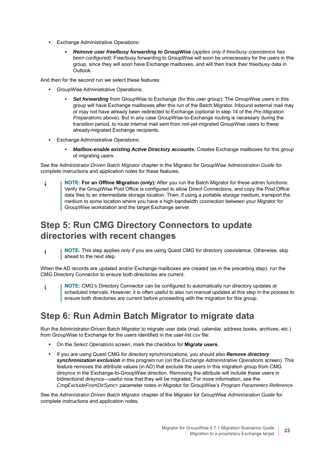- **•** Exchange Administrative Operations:
	- **▪** *Remove user free/busy forwarding to GroupWise (applies only if free/busy coexistence has been configured):* Free/busy forwarding to GroupWise will soon be unnecessary for the users in this group, since they will soon have Exchange mailboxes, and will then track their free/busy data in Outlook.

And then for the second run we select these features:

- **•** GroupWise Administrative Operations:
	- **Set forwarding** from GroupWise to Exchange (for this user group): The GroupWise users in this group will have Exchange mailboxes after this run of the Batch Migrator. Inbound external mail may or may not have already been redirected to Exchange (optional in step 14 of the *Pre-Migration Preparations* above). But in any case GroupWise-to-Exchange routing is necessary during the transition period, to route internal mail sent from not-yet-migrated GroupWise users to these already-migrated Exchange recipients.
- **•** Exchange Administrative Operations:
	- *Mailbox-enable existing Active Directory accounts.* Creates Exchange mailboxes for this group of migrating users.

See the *Administrator-Driven Batch Migrator* chapter in the Migrator for GroupWise *Administration Guide* for complete instructions and application notes for these features.

**NOTE: For an Offline Migration (only):** After you run the Batch Migrator for these admin functions: ÷ Verify the GroupWise Post Office is configured to allow Direct Connections, and copy the Post Office data files to an intermediate storage location. Then, if using a portable storage medium, transport the medium to some location where you have a high-bandwidth connection between your Migrator for GroupWise workstation and the target Exchange server.

## **Step 5: Run CMG Directory Connectors to update directories with recent changes**

**NOTE:** This step applies only if you are using Quest CMG for directory coexistence. Otherwise, skip f. ahead to the next step.

When the AD records are updated and/or Exchange mailboxes are created (as in the preceding step), run the CMG Directory Connector to ensure both directories are current.

**NOTE:** CMG's Directory Connector can be configured to automatically run directory updates at i scheduled intervals. However, it is often useful to also run manual updates at this step in the process to ensure both directories are current before proceeding with the migration for this group.

## **Step 6: Run Admin Batch Migrator to migrate data**

Run the Administrator-Driven Batch Migrator to migrate user data (mail, calendar, address books, archives, etc.) from GroupWise to Exchange for the users identified in the user-list *csv* file:

- **•** On the *Select Operations* screen, mark the checkbox for **Migrate users**.
- **•** If you are using Quest CMG for directory synchronizations, you should also *Remove directory synchronization exclusion* in this program run (on the *Exchange Administrative Operations* screen). This feature removes the attribute values (in AD) that exclude the users in this migration group from CMG dirsyncs in the Exchange-to-GroupWise direction. Removing the attribute will include these users in bidirectional dirsyncs—useful now that they will be migrated. For more information, see the *CmgExcludeFromDirSync=* parameter notes in Migrator for GroupWise's *Program Parameters Reference*.

<span id="page-22-0"></span>See the *Administrator-Driven Batch Migrator* chapter of the Migrator for GroupWise *Administration Guide* for complete instructions and application notes.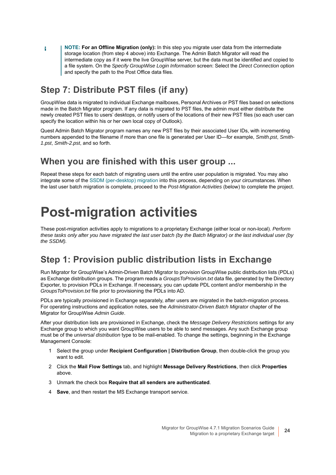**NOTE: For an Offline Migration (only):** In this step you migrate user data from the intermediate f. storage location (from step 4 above) into Exchange. The Admin Batch Migrator will read the intermediate copy as if it were the live GroupWise server, but the data must be identified and copied to a file system. On the *Specify GroupWise Login Information* screen: Select the *Direct Connection* option and specify the path to the Post Office data files.

## <span id="page-23-4"></span>**Step 7: Distribute PST files (if any)**

<span id="page-23-5"></span>GroupWise data is migrated to individual Exchange mailboxes, Personal Archives or PST files based on selections made in the Batch Migrator program. If any data is migrated to PST files, the admin must either distribute the newly created PST files to users' desktops, or notify users of the locations of their new PST files (so each user can specify the location within his or her own local copy of Outlook).

Quest Admin Batch Migrator program names any new PST files by their associated User IDs, with incrementing numbers appended to the filename if more than one file is generated per User ID—for example, *Smith.pst*, *Smith-1.pst*, *Smith-2.pst*, and so forth.

### **When you are finished with this user group ...**

Repeat these steps for each batch of migrating users until the entire user population is migrated. You may also integrate some of the [SSDM \(per-desktop\) migration](#page-43-3) into this process, depending on your circumstances. When the last user batch migration is complete, proceed to the *Post-Migration Activities* (below) to complete the project.

## <span id="page-23-0"></span>**Post-migration activities**

<span id="page-23-3"></span>These post-migration activities apply to migrations to a proprietary Exchange (either local or non-local). *Perform these tasks only after you have migrated the last user batch (by the Batch Migrator) or the last individual user (by the SSDM).*

## **Step 1: Provision public distribution lists in Exchange**

<span id="page-23-6"></span><span id="page-23-1"></span>Run Migrator for GroupWise's Admin-Driven Batch Migrator to provision GroupWise public distribution lists (PDLs) as Exchange distribution groups. The program reads a *GroupsToProvision.txt* data file, generated by the Directory Exporter, to provision PDLs in Exchange. If necessary, you can update PDL content and/or membership in the *GroupsToProvision.txt* file prior to provisioning the PDLs into AD.

PDLs are typically provisioned in Exchange separately, after users are migrated in the batch-migration process. For operating instructions and application notes, see the *Administrator-Driven Batch Migrator* chapter of the Migrator for GroupWise *Admin Guide*.

After your distribution lists are provisioned in Exchange, check the *Message Delivery Restrictions* settings for any Exchange group to which you want GroupWise users to be able to send messages. Any such Exchange group must be of the *universal distribution* type to be mail-enabled. To change the settings, beginning in the Exchange Management Console:

- <span id="page-23-2"></span>1 Select the group under **Recipient Configuration | Distribution Group**, then double-click the group you want to edit.
- 2 Click the **Mail Flow Settings** tab, and highlight **Message Delivery Restrictions**, then click **Properties** above.
- 3 Unmark the check box **Require that all senders are authenticated**.
- 4 **Save**, and then restart the MS Exchange transport service.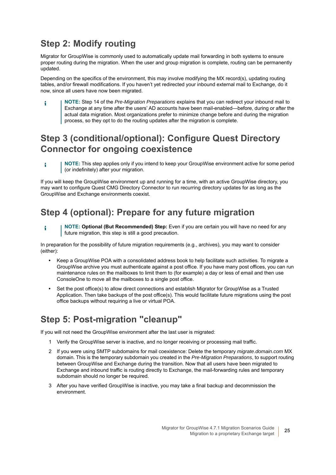## **Step 2: Modify routing**

Migrator for GroupWise is commonly used to automatically update mail forwarding in both systems to ensure proper routing during the migration. When the user and group migration is complete, routing can be permanently updated.

Depending on the specifics of the environment, this may involve modifying the MX record(s), updating routing tables, and/or firewall modifications. If you haven't yet redirected your inbound external mail to Exchange, do it now, since all users have now been migrated.

**NOTE:** Step 14 of the *Pre-Migration Preparations* explains that you can redirect your inbound mail to ÷ Exchange at any time after the users' AD accounts have been mail-enabled—before, during or after the actual data migration. Most organizations prefer to minimize change before and during the migration process, so they opt to do the routing updates after the migration is complete.

## **Step 3 (conditional/optional): Configure Quest Directory Connector for ongoing coexistence**

**NOTE:** This step applies only if you intend to keep your GroupWise environment active for some period f. (or indefinitely) after your migration.

If you will keep the GroupWise environment up and running for a time, with an active GroupWise directory, you may want to configure Quest CMG Directory Connector to run recurring directory updates for as long as the GroupWise and Exchange environments coexist.

## **Step 4 (optional): Prepare for any future migration**

**NOTE: Optional (But Recommended) Step:** Even if you are certain you will have no need for any i future migration, this step is still a good precaution.

In preparation for the possibility of future migration requirements (e.g., archives), you may want to consider (either):

- **•** Keep a GroupWise POA with a consolidated address book to help facilitate such activities. To migrate a GroupWise archive you must authenticate against a post office. If you have many post offices, you can run maintenance rules on the mailboxes to limit them to (for example) a day or less of email and then use ConsoleOne to move all the mailboxes to a single post office.
- **•** Set the post office(s) to allow direct connections and establish Migrator for GroupWise as a Trusted Application. Then take backups of the post office(s). This would facilitate future migrations using the post office backups without requiring a live or virtual POA.

## **Step 5: Post-migration "cleanup"**

If you will not need the GroupWise environment after the last user is migrated:

- <span id="page-24-0"></span>1 Verify the GroupWise server is inactive, and no longer receiving or processing mail traffic.
- 2 If you were using SMTP subdomains for mail coexistence: Delete the temporary *migrate.domain.com* MX domain. This is the temporary subdomain you created in the *Pre-Migration Preparations*, to support routing between GroupWise and Exchange during the transition. Now that all users have been migrated to Exchange and inbound traffic is routing directly to Exchange, the mail-forwarding rules and temporary subdomain should no longer be required.
- 3 After you have verified GroupWise is inactive, you may take a final backup and decommission the environment.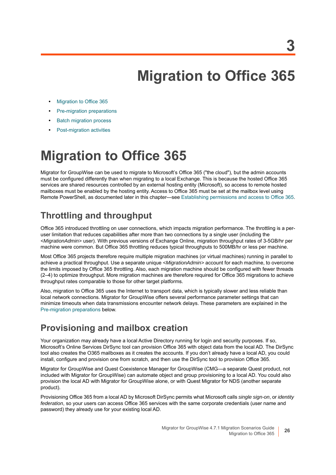**3**

# <span id="page-25-2"></span>**Migration to Office 365**

- <span id="page-25-0"></span>**•** [Migration to Office 365](#page-25-1)
- **•** [Pre-migration preparations](#page-27-0)
- **•** [Batch migration process](#page-34-0)
- **•** [Post-migration activities](#page-40-0)

## <span id="page-25-1"></span>**Migration to Office 365**

<span id="page-25-3"></span>Migrator for GroupWise can be used to migrate to Microsoft's Office 365 ("the cloud"), but the admin accounts must be configured differently than when migrating to a local Exchange. This is because the hosted Office 365 services are shared resources controlled by an external hosting entity (Microsoft), so access to remote hosted mailboxes must be enabled by the hosting entity. Access to Office 365 must be set at the mailbox level using Remote PowerShell, as documented later in this chapter—see [Establishing permissions and access to Office 365.](#page-38-0)

## **Throttling and throughput**

<span id="page-25-5"></span>Office 365 introduced throttling on user connections, which impacts migration performance. The throttling is a peruser limitation that reduces capabilities after more than two connections by a single user (including the *<MigrationAdmin>* user). With previous versions of Exchange Online, migration throughput rates of 3-5GB/hr per machine were common. But Office 365 throttling reduces typical throughputs to 500MB/hr or less per machine.

Most Office 365 projects therefore require multiple migration machines (or virtual machines) running in parallel to achieve a practical throughput. Use a separate unique *<MigrationAdmin>* account for each machine, to overcome the limits imposed by Office 365 throttling. Also, each migration machine should be configured with fewer threads (2–4) to optimize throughput. More migration machines are therefore required for Office 365 migrations to achieve throughput rates comparable to those for other target platforms.

Also, migration to Office 365 uses the Internet to transport data, which is typically slower and less reliable than local network connections. Migrator for GroupWise offers several performance parameter settings that can minimize timeouts when data transmissions encounter network delays. These parameters are explained in the [Pre-migration preparations](#page-27-0) below.

## **Provisioning and mailbox creation**

<span id="page-25-4"></span>Your organization may already have a local Active Directory running for login and security purposes. If so, Microsoft's Online Services DirSync tool can provision Office 365 with object data from the local AD. The DirSync tool also creates the O365 mailboxes as it creates the accounts. If you don't already have a local AD, you could install, configure and provision one from scratch, and then use the DirSync tool to provision Office 365.

Migrator for GroupWise and Quest Coexistence Manager for GroupWise (CMG—a separate Quest product, not included with Migrator for GroupWise) can automate object and group provisioning to a local AD. You could also provision the local AD with Migrator for GroupWise alone, or with Quest Migrator for NDS (another separate product).

Provisioning Office 365 from a local AD by Microsoft DirSync permits what Microsoft calls *single sign-on*, or *identity federation*, so your users can access Office 365 services with the same corporate credentials (user name and password) they already use for your existing local AD.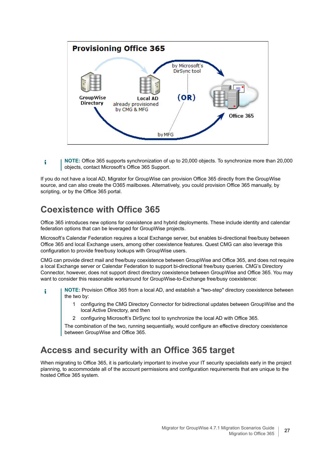

**NOTE:** Office 365 supports synchronization of up to 20,000 objects. To synchronize more than 20,000 f. objects, contact Microsoft's Office 365 Support.

If you do not have a local AD, Migrator for GroupWise can provision Office 365 directly from the GroupWise source, and can also create the O365 mailboxes. Alternatively, you could provision Office 365 manually, by scripting, or by the Office 365 portal.

### **Coexistence with Office 365**

<span id="page-26-0"></span>Office 365 introduces new options for coexistence and hybrid deployments. These include identity and calendar federation options that can be leveraged for GroupWise projects.

Microsoft's Calendar Federation requires a local Exchange server, but enables bi-directional free/busy between Office 365 and local Exchange users, among other coexistence features. Quest CMG can also leverage this configuration to provide free/busy lookups with GroupWise users.

CMG can provide direct mail and free/busy coexistence between GroupWise and Office 365, and does not require a local Exchange server or Calendar Federation to support bi-directional free/busy queries. CMG's Directory Connector, however, does not support direct directory coexistence between GroupWise and Office 365. You may want to consider this reasonable workaround for GroupWise-to-Exchange free/busy coexistence:

- **NOTE:** Provision Office 365 from a local AD, and establish a "two-step" directory coexistence between i the two by:
	- 1 configuring the CMG Directory Connector for bidirectional updates between GroupWise and the local Active Directory, and then
	- 2 configuring Microsoft's DirSync tool to synchronize the local AD with Office 365.

The combination of the two, running sequentially, would configure an effective directory coexistence between GroupWise and Office 365.

### **Access and security with an Office 365 target**

When migrating to Office 365, it is particularly important to involve your IT security specialists early in the project planning, to accommodate all of the account permissions and configuration requirements that are unique to the hosted Office 365 system.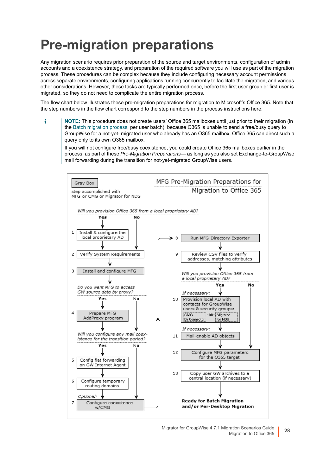## <span id="page-27-0"></span>**Pre-migration preparations**

Any migration scenario requires prior preparation of the source and target environments, configuration of admin accounts and a coexistence strategy, and preparation of the required software you will use as part of the migration process. These procedures can be complex because they include configuring necessary account permissions across separate environments, configuring applications running concurrently to facilitate the migration, and various other considerations. However, these tasks are typically performed once, before the first user group or first user is migrated, so they do not need to complicate the entire migration process.

The flow chart below illustrates these pre-migration preparations for migration to Microsoft's Office 365. Note that the step numbers in the flow chart correspond to the step numbers in the process instructions here.

**NOTE:** This procedure does not create users' Office 365 mailboxes until just prior to their migration (in f the [Batch migration process,](#page-34-0) per user batch), because O365 is unable to send a free/busy query to GroupWise for a not-yet- migrated user who already has an O365 mailbox. Office 365 can direct such a query only to its own O365 mailbox.

If you will not configure free/busy coexistence, you could create Office 365 mailboxes earlier in the process, as part of these *Pre-Migration Preparations*— as long as you also set Exchange-to-GroupWise mail forwarding during the transition for not-yet-migrated GroupWise users.



Migrator for GroupWise 4.7.1 Migration Scenarios Guide Migration to Office 365 **<sup>28</sup>**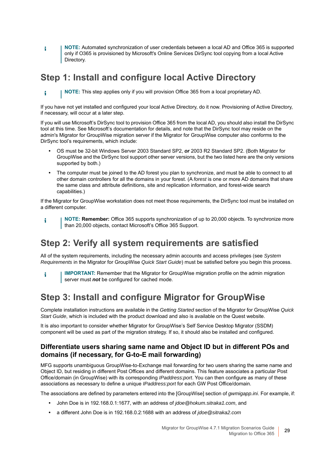**NOTE:** Automated synchronization of user credentials between a local AD and Office 365 is supported f only if O365 is provisioned by Microsoft's Online Services DirSync tool copying from a local Active Directory.

## **Step 1: Install and configure local Active Directory**

**NOTE:** This step applies only if you will provision Office 365 from a local proprietary AD.

If you have not yet installed and configured your local Active Directory, do it now. Provisioning of Active Directory, if necessary, will occur at a later step.

If you will use Microsoft's DirSync tool to provision Office 365 from the local AD, you should also install the DirSync tool at this time. See Microsoft's documentation for details, and note that the DirSync tool may reside on the admin's Migrator for GroupWise migration server if the Migrator for GroupWise computer also conforms to the DirSync tool's requirements, which include:

- **•** OS must be 32-bit Windows Server 2003 Standard SP2, *or* 2003 R2 Standard SP2. (Both Migrator for GroupWise and the DirSync tool support other server versions, but the two listed here are the only versions supported by both.)
- **•** The computer must be joined to the AD forest you plan to synchronize, and must be able to connect to all other domain controllers for all the domains in your forest. (A *forest* is one or more AD domains that share the same class and attribute definitions, site and replication information, and forest-wide search capabilities.)

If the Migrator for GroupWise workstation does not meet those requirements, the DirSync tool must be installed on a different computer.

**NOTE: Remember:** Office 365 supports synchronization of up to 20,000 objects. To synchronize more f than 20,000 objects, contact Microsoft's Office 365 Support.

## **Step 2: Verify all system requirements are satisfied**

<span id="page-28-0"></span>All of the system requirements, including the necessary admin accounts and access privileges (see *System Requirements* in the Migrator for GroupWise *Quick Start Guide*) must be satisfied before you begin this process.

**IMPORTANT:** Remember that the Migrator for GroupWise migration profile on the admin migration i server must *not* be configured for cached mode.

## **Step 3: Install and configure Migrator for GroupWise**

Complete installation instructions are available in the *Getting Started* section of the Migrator for GroupWise *Quick Start Guide*, which is included with the product download and also is available on the Quest website.

It is also important to consider whether Migrator for GroupWise's Self Service Desktop Migrator (SSDM) component will be used as part of the migration strategy. If so, it should also be installed and configured.

#### **Differentiate users sharing same name and Object ID but in different POs and domains (if necessary, for G-to-E mail forwarding)**

MFG supports unambiguous GroupWise-to-Exchange mail forwarding for two users sharing the same name and Object ID, but residing in different Post Offices and different domains. This feature associates a particular Post Office/domain (in GroupWise) with its corresponding *IPaddress:port*. You can then configure as many of these associations as necessary to define a unique *IPaddress:port* for each GW Post Office/domain.

The associations are defined by parameters entered into the [GroupWise] section of *gwmigapp.ini*. For example, if:

- **•** John Doe is in 192.168.0.1:1677, with an address of *jdoe@hokum.sitraka1.com*, and
- **•** a different John Doe is in 192.168.0.2:1688 with an address of *jdoe@sitraka2.com*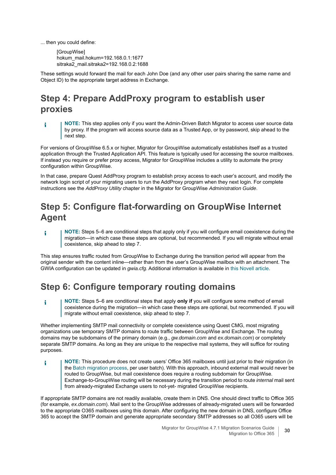... then you could define:

i

[GroupWise] hokum\_mail.hokum=192.168.0.1:1677 sitraka2\_mail.sitraka2=192.168.0.2:1688

These settings would forward the mail for each John Doe (and any other user pairs sharing the same name and Object ID) to the appropriate target address in Exchange.

## **Step 4: Prepare AddProxy program to establish user proxies**

**NOTE:** This step applies only if you want the Admin-Driven Batch Migrator to access user source data i by proxy. If the program will access source data as a Trusted App, or by password, skip ahead to the next step.

For versions of GroupWise 6.5.x or higher, Migrator for GroupWise automatically establishes itself as a trusted application through the Trusted Application API. This feature is typically used for accessing the source mailboxes. If instead you require or prefer proxy access, Migrator for GroupWise includes a utility to automate the proxy configuration within GroupWise.

<span id="page-29-3"></span><span id="page-29-0"></span>In that case, prepare Quest AddProxy program to establish proxy access to each user's account, and modify the network login script of your migrating users to run the AddProxy program when they next login. For complete instructions see the *AddProxy Utility* chapter in the Migrator for GroupWise *Administration Guide*.

## <span id="page-29-2"></span>**Step 5: Configure flat-forwarding on GroupWise Internet Agent**

**NOTE:** Steps 5–6 are conditional steps that apply only if you will configure email coexistence during the f migration—in which case these steps are optional, but recommended. If you will migrate without email coexistence, skip ahead to step 7.

This step ensures traffic routed from GroupWise to Exchange during the transition period will appear from the original sender with the content inline—rather than from the user's GroupWise mailbox with an attachment. The GWIA configuration can be updated in *gwia.cfg*. Additional information is available in [this Novell article.](http://www.novell.com/support/php/search.do?cmd=displayKC&docType=kc&externalId=7002601)

## **Step 6: Configure temporary routing domains**

<span id="page-29-5"></span>**NOTE:** Steps 5–6 are conditional steps that apply **only if** you will configure some method of email coexistence during the migration—in which case these steps are optional, but recommended. If you will migrate without email coexistence, skip ahead to step 7.

<span id="page-29-1"></span>Whether implementing SMTP mail connectivity or complete coexistence using Quest CMG, most migrating organizations use temporary SMTP domains to route traffic between GroupWise and Exchange. The routing domains may be subdomains of the primary domain (e.g., *gw.domain.com* and *ex.domain.com*) or completely separate SMTP domains. As long as they are unique to the respective mail systems, they will suffice for routing purposes.

**NOTE:** This procedure does not create users' Office 365 mailboxes until just prior to their migration (in f the [Batch migration process](#page-34-0), per user batch). With this approach, inbound external mail would never be routed to GroupWise, but mail coexistence does require a routing subdomain for GroupWise. Exchange-to-GroupWise routing will be necessary during the transition period to route *internal* mail sent from already-migrated Exchange users to not-yet- migrated GroupWise recipients.

<span id="page-29-4"></span>If appropriate SMTP domains are not readily available, create them in DNS. One should direct traffic to Office 365 (for example, *ex.domain.com*). Mail sent to the GroupWise addresses of already-migrated users will be forwarded to the appropriate O365 mailboxes using this domain. After configuring the new domain in DNS, configure Office 365 to accept the SMTP domain and generate appropriate secondary SMTP addresses so all O365 users will be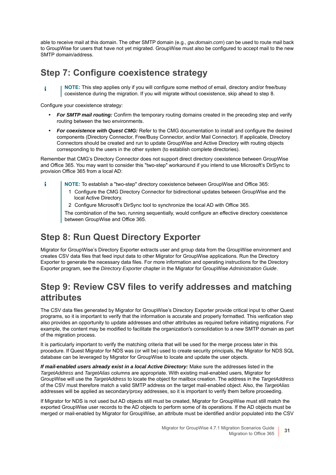able to receive mail at this domain. The other SMTP domain (e.g., *gw.domain.com*) can be used to route mail back to GroupWise for users that have not yet migrated. GroupWise must also be configured to accept mail to the new SMTP domain/address.

### **Step 7: Configure coexistence strategy**

**NOTE:** This step applies only if you will configure some method of email, directory and/or free/busy î. coexistence during the migration. If you will migrate without coexistence, skip ahead to step 8.

Configure your coexistence strategy:

- <span id="page-30-6"></span><span id="page-30-1"></span>**•** *For SMTP mail routing:* Confirm the temporary routing domains created in the preceding step and verify routing between the two environments.
- <span id="page-30-0"></span>**•** *For coexistence with Quest CMG:* Refer to the CMG documentation to install and configure the desired components (Directory Connector, Free/Busy Connector, and/or Mail Connector). If applicable, Directory Connectors should be created and run to update GroupWise and Active Directory with routing objects corresponding to the users in the other system (to establish complete directories).

Remember that CMG's Directory Connector does not support direct directory coexistence between GroupWise and Office 365. You may want to consider this "two-step" workaround if you intend to use Microsoft's DirSync to provision Office 365 from a local AD:

- ÷ **NOTE:** To establish a "two-step" directory coexistence between GroupWise and Office 365:
	- 1 Configure the CMG Directory Connector for bidirectional updates between GroupWise and the local Active Directory.
	- 2 Configure Microsoft's DirSync tool to synchronize the local AD with Office 365.

<span id="page-30-4"></span>The combination of the two, running sequentially, would configure an effective directory coexistence between GroupWise and Office 365.

### **Step 8: Run Quest Directory Exporter**

<span id="page-30-2"></span>Migrator for GroupWise's Directory Exporter extracts user and group data from the GroupWise environment and creates CSV data files that feed input data to other Migrator for GroupWise applications. Run the Directory Exporter to generate the necessary data files. For more information and operating instructions for the Directory Exporter program, see the *Directory Exporter* chapter in the Migrator for GroupWise *Administration Guide*.

## **Step 9: Review CSV files to verify addresses and matching attributes**

<span id="page-30-3"></span>The CSV data files generated by Migrator for GroupWise's Directory Exporter provide critical input to other Quest programs, so it is important to verify that the information is accurate and properly formatted. This verification step also provides an opportunity to update addresses and other attributes as required before initiating migrations. For example, the content may be modified to facilitate the organization's consolidation to a new SMTP domain as part of the migration process.

It is particularly important to verify the matching criteria that will be used for the merge process later in this procedure. If Quest Migrator for NDS was (or will be) used to create security principals, the Migrator for NDS SQL database can be leveraged by Migrator for GroupWise to locate and update the user objects.

<span id="page-30-8"></span><span id="page-30-7"></span>*If mail-enabled users already exist in a local Active Directory:* Make sure the addresses listed in the *TargetAddress* and *TargetAlias* columns are appropriate. With existing mail-enabled users, Migrator for GroupWise will use the *TargetAddress* to locate the object for mailbox creation. The address in the *TargetAddress* of the CSV must therefore match a valid SMTP address on the target mail-enabled object. Also, the *TargetAlias* addresses will be applied as secondary/proxy addresses, so it is important to verify them before proceeding.

<span id="page-30-5"></span>If Migrator for NDS is not used but AD objects still must be created, Migrator for GroupWise must still match the exported GroupWise user records to the AD objects to perform some of its operations. If the AD objects must be merged or mail-enabled by Migrator for GroupWise, an attribute must be identified and/or populated into the CSV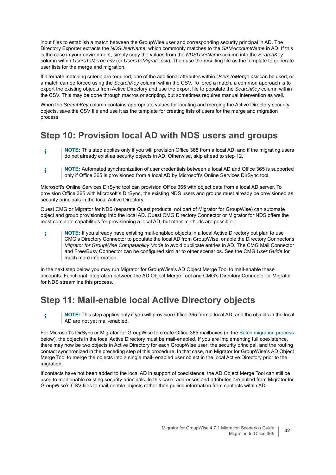<span id="page-31-12"></span><span id="page-31-11"></span><span id="page-31-10"></span><span id="page-31-9"></span><span id="page-31-4"></span>input files to establish a match between the GroupWise user and corresponding security principal in AD. The Directory Exporter extracts the *NDSUserName*, which commonly matches to the *SAMAccountName* in AD. If this is the case in your environment, simply copy the values from the *NDSUserName* column into the *SearchKey* column within *UsersToMerge.csv* (or *UsersToMigrate.csv*). Then use the resulting file as the template to generate user lists for the merge and migration.

If alternate matching criteria are required, one of the additional attributes within *UsersToMerge.csv* can be used, or a match can be forced using the *SearchKey* column within the CSV. To force a match, a common approach is to export the existing objects from Active Directory and use the export file to populate the *SearchKey* column within the CSV. This may be done through macros or scripting, but sometimes requires manual intervention as well.

When the *SearchKey* column contains appropriate values for locating and merging the Active Directory security objects, save the CSV file and use it as the template for creating lists of users for the merge and migration process.

## <span id="page-31-5"></span>**Step 10: Provision local AD with NDS users and groups**

- **NOTE:** This step applies only if you will provision Office 365 from a local AD, and if the migrating users i do not already exist as security objects in AD. Otherwise, skip ahead to step 12.
- <span id="page-31-7"></span>**NOTE:** Automated synchronization of user credentials between a local AD and Office 365 is supported f. only if Office 365 is provisioned from a local AD by Microsoft's Online Services DirSync tool.

Microsoft's Online Services DirSync tool can provision Office 365 with object data from a local AD server. To provision Office 365 with Microsoft's DirSync, the existing NDS users and groups must already be provisioned as security principals in the local Active Directory.

Quest CMG or Migrator for NDS (separate Quest products, not part of Migrator for GroupWise) can automate object and group provisioning into the local AD. Quest CMG Directory Connector or Migrator for NDS offers the most complete capabilities for provisioning a local AD, but other methods are possible.

<span id="page-31-8"></span><span id="page-31-3"></span><span id="page-31-1"></span>**NOTE:** If you already have existing mail-enabled objects in a local Active Directory but plan to use i CMG's Directory Connector to populate the local AD from GroupWise, enable the Directory Connector's *Migrator for GroupWise Compatability Mode* to avoid duplicate entries in AD. The CMG Mail Connector and Free/Busy Connector can be configured similar to other scenarios. See the CMG *User Guide* for much more information.

In the next step below you may run Migrator for GroupWise's AD Object Merge Tool to mail-enable these accounts. Functional integration between the AD Object Merge Tool and CMG's Directory Connector or Migrator for NDS streamline this process.

## **Step 11: Mail-enable local Active Directory objects**

<span id="page-31-6"></span>**NOTE:** This step applies only if you will provision Office 365 from a local AD, and the objects in the local f. AD are not yet mail-enabled.

<span id="page-31-2"></span><span id="page-31-0"></span>For Microsoft's DirSync or Migrator for GroupWise to create Office 365 mailboxes (in the [Batch migration process](#page-34-0) below), the objects in the local Active Directory must be mail-enabled. If you are implementing full coexistence, there may now be two objects in Active Directory for each GroupWise user: the security principal, and the routing contact synchronized in the preceding step of this procedure. In that case, run Migrator for GroupWise's AD Object Merge Tool to merge the objects into a single mail- enabled user object in the local Active Directory prior to the migration.

If contacts have not been added to the local AD in support of coexistence, the AD Object Merge Tool can still be used to mail-enable existing security principals. In this case, addresses and attributes are pulled from Migrator for GroupWise's CSV files to mail-enable objects rather than pulling information from contacts within AD.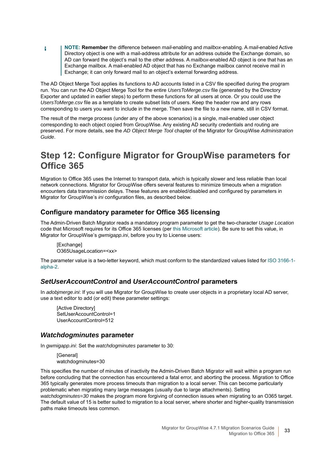**NOTE: Remember** the difference between *mail*-enabling and *mailbox*-enabling. A *mail*-enabled Active f. Directory object is one with a mail-address attribute for an address outside the Exchange domain, so AD can forward the object's mail to the other address. A *mailbox*-enabled AD object is one that has an Exchange mailbox. A mail-enabled AD object that has no Exchange mailbox cannot receive mail in Exchange; it can only forward mail to an object's external forwarding address.

<span id="page-32-4"></span>The AD Object Merge Tool applies its functions to AD accounts listed in a CSV file specified during the program run. You can run the AD Object Merge Tool for the entire *UsersToMerge.csv* file (generated by the Directory Exporter and updated in earlier steps) to perform these functions for all users at once. Or you could use the *UsersToMerge.csv* file as a template to create subset lists of users. Keep the header row and any rows corresponding to users you want to include in the merge. Then save the file to a new name, still in CSV format.

The result of the merge process (under any of the above scenarios) is a single, mail-enabled user object corresponding to each object copied from GroupWise. Any existing AD security credentials and routing are preserved. For more details, see the *AD Object Merge Tool* chapter of the Migrator for GroupWise *Administration Guide*.

## **Step 12: Configure Migrator for GroupWise parameters for Office 365**

Migration to Office 365 uses the Internet to transport data, which is typically slower and less reliable than local network connections. Migrator for GroupWise offers several features to minimize timeouts when a migration encounters data transmission delays. These features are enabled/disabled and configured by parameters in Migrator for GroupWise's *ini* configuration files, as described below.

#### **Configure mandatory parameter for Office 365 licensing**

The Admin-Driven Batch Migrator reads a mandatory program parameter to get the two-character *Usage Location* code that Microsoft requires for its Office 365 licenses (per [this Microsoft article\)](http://office.microsoft.com/en-us/business/microsoft-office-license-restrictions-FX103037529.aspx). Be sure to set this value, in Migrator for GroupWise's *gwmigapp.ini*, before you try to License users:

<span id="page-32-3"></span>[Exchange] O365UsageLocation=<xx>

The parameter value is a two-letter keyword, which must conform to the standardized values listed for [ISO 3166-1](http://www.iso.org/iso/country_codes/iso_3166_code_lists/country_names_and_code_elements.htm) [alpha-2.](http://www.iso.org/iso/country_codes/iso_3166_code_lists/country_names_and_code_elements.htm)

#### <span id="page-32-2"></span>*SetUserAccountControl* **and** *UserAccountControl* **parameters**

<span id="page-32-0"></span>In *adobjmerge.ini*: If you will use Migrator for GroupWise to create user objects in a proprietary local AD server, use a text editor to add (or edit) these parameter settings:

[Active Directory] SetUserAccountControl=1 UserAccountControl=512

#### *Watchdogminutes* **parameter**

<span id="page-32-1"></span>In *gwmigapp.ini*: Set the *watchdogminutes* parameter to 30:

<span id="page-32-5"></span>[General] watchdogminutes=30

This specifies the number of minutes of inactivity the Admin-Driven Batch Migrator will wait within a program run before concluding that the connection has encountered a fatal error, and aborting the process. Migration to Office 365 typically generates more process timeouts than migration to a local server. This can become particularly problematic when migrating many large messages (usually due to large attachments). Setting watchdogminutes=30 makes the program more forgiving of connection issues when migrating to an O365 target. The default value of 15 is better suited to migration to a local server, where shorter and higher-quality transmission paths make timeouts less common.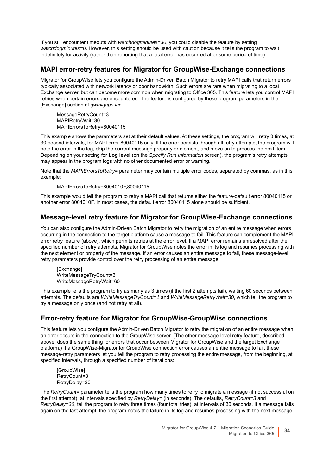If you still encounter timeouts with *watchdogminutes=30*, you could disable the feature by setting *watchdogminutes=0*. However, this setting should be used with caution because it tells the program to wait indefinitely for activity (rather than reporting that a fatal error has occurred after some period of time).

#### <span id="page-33-0"></span>**MAPI error-retry features for Migrator for GroupWise-Exchange connections**

Migrator for GroupWise lets you configure the Admin-Driven Batch Migrator to retry MAPI calls that return errors typically associated with network latency or poor bandwidth. Such errors are rare when migrating to a local Exchange server, but can become more common when migrating to Office 365. This feature lets you control MAPI retries when certain errors are encountered. The feature is configured by these program parameters in the [Exchange] section of *gwmigapp.ini*:

<span id="page-33-5"></span><span id="page-33-3"></span><span id="page-33-2"></span><span id="page-33-1"></span>MessageRetryCount=3 MAPIRetryWait=30 MAPIErrorsToRetry=80040115

This example shows the parameters set at their default values. At these settings, the program will retry 3 times, at 30-second intervals, for MAPI error 80040115 only. If the error persists through all retry attempts, the program will note the error in the log, skip the current message property or element, and move on to process the next item. Depending on your setting for **Log level** (on the *Specify Run Information* screen), the program's retry attempts may appear in the program logs with no other documented error or warning.

Note that the *MAPIErrorsToRetry=* parameter may contain multiple error codes, separated by commas, as in this example:

MAPIErrorsToRetry=8004010F,80040115

This example would tell the program to retry a MAPI call that returns either the feature-default error 80040115 or another error 8004010F. In most cases, the default error 80040115 alone should be sufficient.

#### **Message-level retry feature for Migrator for GroupWise-Exchange connections**

<span id="page-33-4"></span>You can also configure the Admin-Driven Batch Migrator to retry the migration of an entire message when errors occurring in the connection to the target platform cause a message to fail. This feature can complement the MAPIerror retry feature (above), which permits retries at the error level. If a MAPI error remains unresolved after the specified number of retry attempts, Migrator for GroupWise notes the error in its log and resumes processing with the next element or property of the message. If an error causes an entire message to fail, these message-level retry parameters provide control over the retry processing of an entire message:

<span id="page-33-9"></span><span id="page-33-8"></span>**[Exchange]** WriteMessageTryCount=3 WriteMessageRetryWait=60

This example tells the program to try as many as 3 times (if the first 2 attempts fail), waiting 60 seconds between attempts. The defaults are *WriteMessageTryCount=1* and *WriteMessageRetryWait=30*, which tell the program to try a message only once (and not retry at all).

### **Error-retry feature for Migrator for GroupWise-GroupWise connections**

This feature lets you configure the Admin-Driven Batch Migrator to retry the migration of an entire message when an error occurs in the connection to the GroupWise server. (The other message-level retry feature, described above, does the same thing for errors that occur between Migrator for GroupWise and the target Exchange platform.) If a GroupWise-Migrator for GroupWise connection error causes an entire message to fail, these message-retry parameters let you tell the program to retry processing the entire message, from the beginning, at specified intervals, through a specified number of iterations:

<span id="page-33-7"></span><span id="page-33-6"></span>[GroupWise] RetryCount=3 RetryDelay=30

The *RetryCount=* parameter tells the program how many times to retry to migrate a message (if not successful on the first attempt), at intervals specified by *RetryDelay=* (in seconds). The defaults, *RetryCount=3* and *RetryDelay=30*, tell the program to retry three times (four total tries), at intervals of 30 seconds. If a message fails again on the last attempt, the program notes the failure in its log and resumes processing with the next message.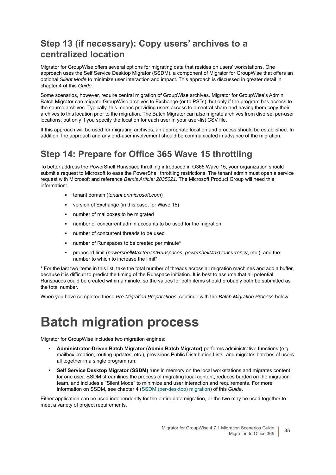## **Step 13 (if necessary): Copy users' archives to a centralized location**

<span id="page-34-1"></span>Migrator for GroupWise offers several options for migrating data that resides on users' workstations. One approach uses the Self Service Desktop Migrator (SSDM), a component of Migrator for GroupWise that offers an optional *Silent Mode* to minimize user interaction and impact. This approach is discussed in greater detail in chapter 4 of this *Guide*.

<span id="page-34-2"></span>Some scenarios, however, require central migration of GroupWise archives. Migrator for GroupWise's Admin Batch Migrator can migrate GroupWise archives to Exchange (or to PSTs), but only if the program has access to the source archives. Typically, this means providing users access to a central share and having them copy their archives to this location prior to the migration. The Batch Migrator can also migrate archives from diverse, per-user locations, but only if you specify the location for each user in your user-list CSV file.

If this approach will be used for migrating archives, an appropriate location and process should be established. In addition, the approach and any end-user involvement should be communicated in advance of the migration.

## **Step 14: Prepare for Office 365 Wave 15 throttling**

To better address the PowerShell Runspace throttling introduced in O365 Wave 15, your organization should submit a request to Microsoft to ease the PowerShell throttling restrictions. The tenant admin must open a service request with Microsoft and reference *Bemis Article: 2835021*. The Microsoft Product Group will need this information:

- <span id="page-34-3"></span>**▪** tenant domain (*tenant.onmicrosoft.com*)
- version of Exchange (in this case, for Wave 15)
- **▪** number of mailboxes to be migrated
- humber of concurrent admin accounts to be used for the migration
- number of concurrent threads to be used
- **▪** number of Runspaces to be created per minute\*
- **▪** proposed limit (*powershellMaxTenantRunspaces*, *powershellMaxConcurrency*, etc.), and the number to which to increase the limit\*

\* For the last two items in this list, take the total number of threads across all migration machines and add a buffer, because it is difficult to predict the timing of the Runspace initiation. It is best to assume that all potential Runspaces could be created within a minute, so the values for both items should probably both be submitted as the total number.

When you have completed these *Pre-Migration Preparations*, continue with the *Batch Migration Process* below.

## <span id="page-34-0"></span>**Batch migration process**

Migrator for GroupWise includes two migration engines:

- **Administrator-Driven Batch Migrator (Admin Batch Migrator)** performs administrative functions (e.g. mailbox creation, routing updates, etc.), provisions Public Distribution Lists, and migrates batches of users all together in a single program run.
- **Self Service Desktop Migrator (SSDM)** runs in memory on the local workstations and migrates content for one user. SSDM streamlines the process of migrating local content, reduces burden on the migration team, and includes a "Silent Mode" to minimize end user interaction and requirements. For more information on SSDM, see chapter 4 [\(SSDM \(per-desktop\) migration](#page-43-3)) of this *Guide*.

Either application can be used independently for the entire data migration, or the two may be used together to meet a variety of project requirements.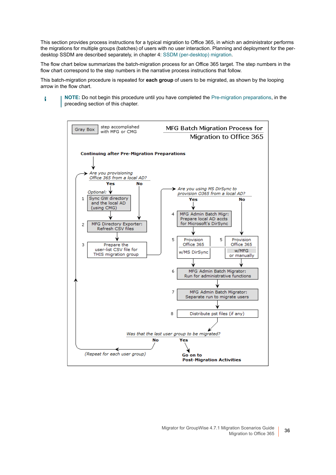This section provides process instructions for a typical migration to Office 365, in which an administrator performs the migrations for multiple groups (batches) of users with no user interaction. Planning and deployment for the perdesktop SSDM are described separately, in chapter 4: [SSDM \(per-desktop\) migration](#page-43-3).

The flow chart below summarizes the batch-migration process for an Office 365 target. The step numbers in the flow chart correspond to the step numbers in the narrative process instructions that follow.

This batch-migration procedure is repeated for **each group** of users to be migrated, as shown by the looping arrow in the flow chart.

**NOTE:** Do not begin this procedure until you have completed the [Pre-migration preparations](#page-27-0), in the i preceding section of this chapter.

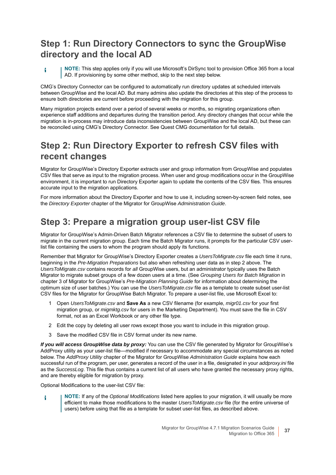## <span id="page-36-2"></span>**Step 1: Run Directory Connectors to sync the GroupWise directory and the local AD**

**NOTE:** This step applies only if you will use Microsoft's DirSync tool to provision Office 365 from a local i AD. If provisioning by some other method, skip to the next step below.

CMG's Directory Connector can be configured to automatically run directory updates at scheduled intervals between GroupWise and the local AD. But many admins also update the directories at this step of the process to ensure both directories are current before proceeding with the migration for this group.

<span id="page-36-3"></span>Many migration projects extend over a period of several weeks or months, so migrating organizations often experience staff additions and departures during the transition period. Any directory changes that occur while the migration is in-process may introduce data inconsistencies between GroupWise and the local AD, but these can be reconciled using CMG's Directory Connector. See Quest CMG documentation for full details.

## **Step 2: Run Directory Exporter to refresh CSV files with recent changes**

<span id="page-36-4"></span>Migrator for GroupWise's Directory Exporter extracts user and group information from GroupWise and populates CSV files that serve as input to the migration process. When user and group modifications occur in the GroupWise environment, it is important to run Directory Exporter again to update the contents of the CSV files. This ensures accurate input to the migration applications.

For more information about the Directory Exporter and how to use it, including screen-by-screen field notes, see the *Directory Exporter* chapter of the Migrator for GroupWise *Administration Guide*.

## **Step 3: Prepare a migration group user-list CSV file**

<span id="page-36-5"></span>Migrator for GroupWise's Admin-Driven Batch Migrator references a CSV file to determine the subset of users to migrate in the current migration group. Each time the Batch Migrator runs, it prompts for the particular CSV userlist file containing the users to whom the program should apply its functions.

Remember that Migrator for GroupWise's Directory Exporter creates a *UsersToMigrate.csv* file each time it runs, beginning in the *Pre-Migration Preparations* but also when refreshing user data as in step 2 above. The *UsersToMigrate.csv* contains records for *all* GroupWise users, but an administrator typically uses the Batch Migrator to migrate subset groups of a few dozen users at a time. (See *Grouping Users for Batch Migration* in chapter 3 of Migrator for GroupWise's *Pre-Migration Planning Guide* for information about determining the optimum size of user batches.) You can use the *UsersToMigrate.csv* file as a template to create subset user-list CSV files for the Migrator for GroupWise Batch Migrator. To prepare a user-list file, use Microsoft Excel to:

- <span id="page-36-8"></span>1 Open *UsersToMigrate.csv* and **Save As** a new CSV filename (for example, *migr01.csv* for your first migration group, or *migmktg.csv* for users in the Marketing Department). You must save the file in CSV format, not as an Excel Workbook or any other file type.
- 2 Edit the copy by deleting all user rows except those you want to include in this migration group.
- <span id="page-36-6"></span><span id="page-36-1"></span>3 Save the modified CSV file in CSV format under its new name.

<span id="page-36-0"></span>*If you will access GroupWise data by proxy:* You can use the CSV file generated by Migrator for GroupWise's AddProxy utility as your user-list file—modified if necessary to accommodate any special circumstances as noted below. The *AddProxy Utility* chapter of the Migrator for GroupWise *Administration Guide* explains how each successful run of the program, per user, generates a record of the user in a file, designated in your *addproxy.ini* file as the *SuccessLog*. This file thus contains a current list of all users who have granted the necessary proxy rights, and are thereby eligible for migration by proxy.

<span id="page-36-7"></span>Optional Modifications to the user-list CSV file:

**NOTE:** If any of the *Optional Modifications* listed here applies to your migration, it will usually be more ÷ efficient to make those modifications to the master *UsersToMigrate.csv* file (for the entire universe of users) before using that file as a template for subset user-list files, as described above.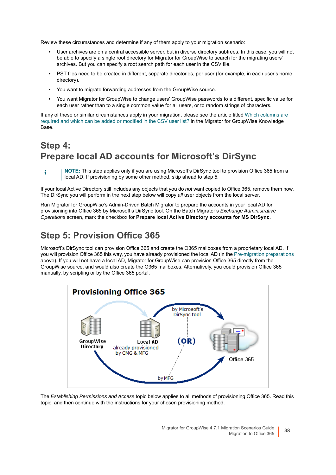Review these circumstances and determine if any of them apply to your migration scenario:

- **•** User archives are on a central accessible server, but in diverse directory subtrees. In this case, you will not be able to specify a single root directory for Migrator for GroupWise to search for the migrating users' archives. But you can specify a root search path for each user in the CSV file.
- **•** PST files need to be created in different, separate directories, per user (for example, in each user's home directory).
- **•** You want to migrate forwarding addresses from the GroupWise source.
- **•** You want Migrator for GroupWise to change users' GroupWise passwords to a different, specific value for each user rather than to a single common value for all users, or to random strings of characters.

If any of these or similar circumstances apply in your migration, please see the article titled [Which columns are](https://support.quest.com/migrator-for-groupwise/kb/14994)  [required and which can be added or modified in the CSV user list?](https://support.quest.com/migrator-for-groupwise/kb/14994) in the Migrator for GroupWise Knowledge Base.

## **Step 4: Prepare local AD accounts for Microsoft's DirSync**

If your local Active Directory still includes any objects that you do *not* want copied to Office 365, remove them now. The DirSync you will perform in the next step below will copy *all* user objects from the local server.

Run Migrator for GroupWise's Admin-Driven Batch Migrator to prepare the accounts in your local AD for provisioning into Office 365 by Microsoft's DirSync tool. On the Batch Migrator's *Exchange Administrative Operations* screen, mark the checkbox for **Prepare local Active Directory accounts for MS DirSync**.

## **Step 5: Provision Office 365**

Microsoft's DirSync tool can provision Office 365 and create the O365 mailboxes from a proprietary local AD. If you will provision Office 365 this way, you have already provisioned the local AD (in the [Pre-migration preparations](#page-27-0) above). If you will not have a local AD, Migrator for GroupWise can provision Office 365 directly from the GroupWise source, and would also create the O365 mailboxes. Alternatively, you could provision Office 365 manually, by scripting or by the Office 365 portal.



The *Establishing Permissions and Access* topic below applies to all methods of provisioning Office 365. Read this topic, and then continue with the instructions for your chosen provisioning method.

**NOTE:** This step applies only if you are using Microsoft's DirSync tool to provision Office 365 from a ÷ local AD. If provisioning by some other method, skip ahead to step 5.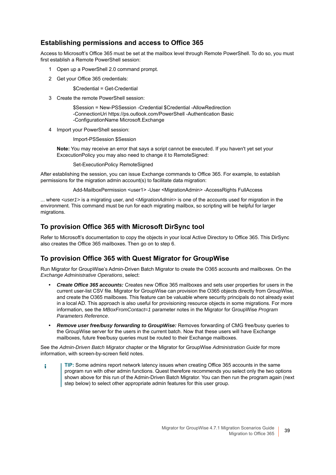#### <span id="page-38-0"></span>**Establishing permissions and access to Office 365**

Access to Microsoft's Office 365 must be set at the mailbox level through Remote PowerShell. To do so, you must first establish a Remote PowerShell session:

- 1 Open up a PowerShell 2.0 command prompt.
- 2 Get your Office 365 credentials:

<span id="page-38-2"></span>\$Credential = Get-Credential

3 Create the remote PowerShell session:

\$Session = New-PSSession -Credential \$Credential -AllowRedirection -ConnectionUri https://ps.outlook.com/PowerShell -Authentication Basic -ConfigurationName Microsoft.Exchange

Import your PowerShell session:

Import-PSSession \$Session

**Note:** You may receive an error that says a script cannot be executed. If you haven't yet set your ExcecutionPolicy you may also need to change it to RemoteSigned:

Set-ExecutionPolicy RemoteSigned

After establishing the session, you can issue Exchange commands to Office 365. For example, to establish permissions for the migration admin account(s) to facilitate data migration:

Add-MailboxPermission <user1> -User <MigrationAdmin> -AccessRights FullAccess

... where *<user1>* is a migrating user, and *<MigrationAdmin>* is one of the accounts used for migration in the environment. This command must be run for each migrating mailbox, so scripting will be helpful for larger migrations.

#### **To provision Office 365 with Microsoft DirSync tool**

Refer to Microsoft's documentation to copy the objects in your local Active Directory to Office 365. This DirSync also creates the Office 365 mailboxes. Then go on to step 6.

#### **To provision Office 365 with Quest Migrator for GroupWise**

Run Migrator for GroupWise's Admin-Driven Batch Migrator to create the O365 accounts and mailboxes. On the *Exchange Administrative Operations*, select:

- **•** *Create Office 365 accounts:* Creates new Office 365 mailboxes and sets user properties for users in the current user-list CSV file. Migrator for GroupWise can provision the O365 objects directly from GroupWise, and create the O365 mailboxes. This feature can be valuable where security principals do not already exist in a local AD. This approach is also useful for provisioning resource objects in some migrations. For more information, see the *MBoxFromContact=1* parameter notes in the Migrator for GroupWise *Program Parameters Reference*.
- <span id="page-38-1"></span>**•** *Remove user free/busy forwarding to GroupWise:* Removes forwarding of CMG free/busy queries to the GroupWise server for the users in the current batch. Now that these users will have Exchange mailboxes, future free/busy queries must be routed to their Exchange mailboxes.

See the *Admin-Driven Batch Migrator* chapter or the Migrator for GroupWise *Administration Guide* for more information, with screen-by-screen field notes.

**TIP:** Some admins report network latency issues when creating Office 365 accounts in the same f program run with other admin functions. Quest therefore recommends you select only the two options shown above for this run of the Admin-Driven Batch Migrator. You can then run the program again (next step below) to select other appropriate admin features for this user group.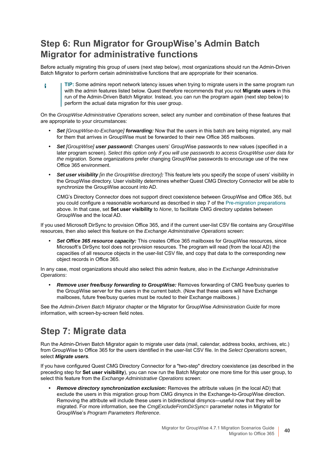## **Step 6: Run Migrator for GroupWise's Admin Batch Migrator for administrative functions**

Before actually migrating this group of users (next step below), most organizations should run the Admin-Driven Batch Migrator to perform certain administrative functions that are appropriate for their scenarios.

**TIP:** Some admins report network latency issues when trying to migrate users in the same program run ÷ with the admin features listed below. Quest therefore recommends that you not **Migrate users** in this run of the Admin-Driven Batch Migrator. Instead, you can run the program again (next step below) to perform the actual data migration for this user group.

On the *GroupWise Administrative Operations* screen, select any number and combination of these features that are appropriate to your circumstances:

- **•** *Set [GroupWise-to-Exchange] forwarding:* Now that the users in this batch are being migrated, any mail for them that arrives in GroupWise must be forwarded to their new Office 365 mailboxes.
- **•** *Set [GroupWise] user password:* Changes users' GroupWise passwords to new values (specified in a later program screen). *Select this option only if you will use passwords to access GroupWise user data for the migration.* Some organizations prefer changing GroupWise passwords to encourage use of the new Office 365 environment.
- **•** *Set user visibility [in the GroupWise directory]:* This feature lets you specify the scope of users' visibility in the GroupWise directory. User visibility determines whether Quest CMG Directory Connector will be able to synchronize the GroupWise account into AD.

CMG's Directory Connector does not support direct coexistence between GroupWise and Office 365, but you could configure a reasonable workaround as described in step 7 of the [Pre-migration preparations](#page-27-0) above. In that case, set **Set user visibility** to *None*, to facilitate CMG directory updates between GroupWise and the local AD.

If you used Microsoft DirSync to provision Office 365, and if the current user-list CSV file contains any GroupWise resources, then also select this feature on the *Exchange Administrative Operations* screen:

**•** *Set Office 365 resource capacity:* This creates Office 365 mailboxes for GroupWise resources, since Microsoft's DirSync tool does not provision resources. The program will read (from the local AD) the capacities of all resource objects in the user-list CSV file, and copy that data to the corresponding new object records in Office 365.

In any case, most organizations should also select this admin feature, also in the *Exchange Administrative Operations*:

**•** *Remove user free/busy forwarding to GroupWise:* Removes forwarding of CMG free/busy queries to the GroupWise server for the users in the current batch. (Now that these users will have Exchange mailboxes, future free/busy queries must be routed to their Exchange mailboxes.)

See the *Admin-Driven Batch Migrator* chapter or the Migrator for GroupWise *Administration Guide* for more information, with screen-by-screen field notes.

## **Step 7: Migrate data**

Run the Admin-Driven Batch Migrator again to migrate user data (mail, calendar, address books, archives, etc.) from GroupWise to Office 365 for the users identified in the user-list CSV file. In the *Select Operations* screen, select *Migrate users.*

If you have configured Quest CMG Directory Connector for a "two-step" directory coexistence (as described in the preceding step for **Set user visibility**), you can now run the Batch Migrator one more time for this user group, to select this feature from the *Exchange Administrative Operations* screen:

<span id="page-39-0"></span>**•** *Remove directory synchronization exclusion:* Removes the attribute values (in the local AD) that exclude the users in this migration group from CMG dirsyncs in the Exchange-to-GroupWise direction. Removing the attribute will include these users in bidirectional dirsyncs—useful now that they will be migrated. For more information, see the *CmgExcludeFromDirSync=* parameter notes in Migrator for GroupWise's *Program Parameters Reference*.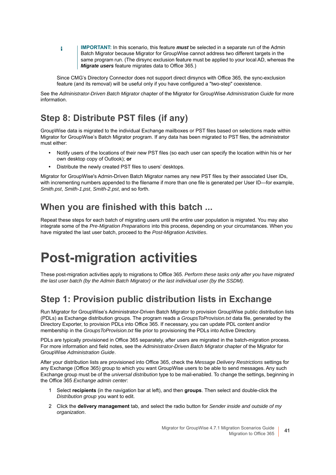**IMPORTANT:** In this scenario, this feature *must* be selected in a separate run of the Admin ÷ Batch Migrator because Migrator for GroupWise cannot address two different targets in the same program run. (The dirsync exclusion feature must be applied to your local AD, whereas the *Migrate users* feature migrates data to Office 365.)

<span id="page-40-5"></span><span id="page-40-4"></span>Since CMG's Directory Connector does not support direct dirsyncs with Office 365, the sync-exclusion feature (and its removal) will be useful only if you have configured a "two-step" coexistence.

See the *Administrator-Driven Batch Migrator* chapter of the Migrator for GroupWise *Administration Guide* for more information.

## **Step 8: Distribute PST files (if any)**

GroupWise data is migrated to the individual Exchange mailboxes or PST files based on selections made within Migrator for GroupWise's Batch Migrator program. If any data has been migrated to PST files, the administrator must either:

- **•** Notify users of the locations of their new PST files (so each user can specify the location within his or her own desktop copy of Outlook); **or**
- **•** Distribute the newly created PST files to users' desktops.

Migrator for GroupWise's Admin-Driven Batch Migrator names any new PST files by their associated User IDs, with incrementing numbers appended to the filename if more than one file is generated per User ID—for example, *Smith.pst*, *Smith-1.pst*, *Smith-2.pst*, and so forth.

## **When you are finished with this batch ...**

Repeat these steps for each batch of migrating users until the entire user population is migrated. You may also integrate some of the *Pre-Migration Preparations* into this process, depending on your circumstances. When you have migrated the last user batch, proceed to the *Post-Migration Activities*.

## <span id="page-40-0"></span>**Post-migration activities**

<span id="page-40-3"></span>These post-migration activities apply to migrations to Office 365. *Perform these tasks only after you have migrated the last user batch (by the Admin Batch Migrator) or the last individual user (by the SSDM).*

## **Step 1: Provision public distribution lists in Exchange**

<span id="page-40-6"></span><span id="page-40-1"></span>Run Migrator for GroupWise's Administrator-Driven Batch Migrator to provision GroupWise public distribution lists (PDLs) as Exchange distribution groups. The program reads a *GroupsToProvision.txt* data file, generated by the Directory Exporter, to provision PDLs into Office 365. If necessary, you can update PDL content and/or membership in the *GroupsToProvision.txt* file prior to provisioning the PDLs into Active Directory.

PDLs are typically provisioned in Office 365 separately, after users are migrated in the batch-migration process. For more information and field notes, see the *Administrator-Driven Batch Migrator* chapter of the Migrator for GroupWise *Administration Guide*.

After your distribution lists are provisioned into Office 365, check the *Message Delivery Restrictions* settings for any Exchange (Office 365) group to which you want GroupWise users to be able to send messages. Any such Exchange group must be of the *universal distribution* type to be mail-enabled. To change the settings, beginning in the Office 365 *Exchange admin center*:

- <span id="page-40-2"></span>1 Select **recipients** (in the navigation bar at left), and then **groups**. Then select and double-click the *Distribution group* you want to edit.
- 2 Click the **delivery management** tab, and select the radio button for *Sender inside and outside of my organization*.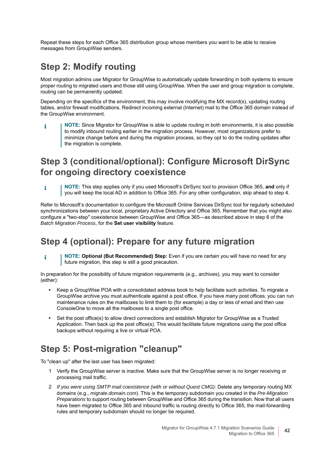Repeat these steps for each Office 365 distribution group whose members you want to be able to receive messages from GroupWise senders.

## **Step 2: Modify routing**

Most migration admins use Migrator for GroupWise to automatically update forwarding in both systems to ensure proper routing to migrated users and those still using GroupWise. When the user and group migration is complete, routing can be permanently updated.

Depending on the specifics of the environment, this may involve modifying the MX record(s), updating routing tables, and/or firewall modifications. Redirect incoming external (Internet) mail to the Office 365 domain instead of the GroupWise environment.

**NOTE:** Since Migrator for GroupWise is able to update routing in both environments, it is also possible i to modify inbound routing earlier in the migration process. However, most organizations prefer to minimize change before and during the migration process, so they opt to do the routing updates after the migration is complete.

## **Step 3 (conditional/optional): Configure Microsoft DirSync for ongoing directory coexistence**

**NOTE:** This step applies only if you used Microsoft's DirSync tool to provision Office 365, **and** only if i you will keep the local AD in addition to Office 365. For any other configuration, skip ahead to step 4.

Refer to Microsoft's documentation to configure the Microsoft Online Services DirSync tool for regularly scheduled synchronizations between your local, proprietary Active Directory and Office 365. Remember that you might also configure a "two-step" coexistence between GroupWise and Office 365—as described above in step 6 of the *Batch Migration Process*, for the **Set user visibility** feature.

### **Step 4 (optional): Prepare for any future migration**

**NOTE: Optional (But Recommended) Step:** Even if you are certain you will have no need for any i future migration, this step is still a good precaution.

In preparation for the possibility of future migration requirements (e.g., archives), you may want to consider (either):

- **•** Keep a GroupWise POA with a consolidated address book to help facilitate such activities. To migrate a GroupWise archive you must authenticate against a post office. If you have many post offices, you can run maintenance rules on the mailboxes to limit them to (for example) a day or less of email and then use ConsoleOne to move all the mailboxes to a single post office.
- **•** Set the post office(s) to allow direct connections and establish Migrator for GroupWise as a Trusted Application. Then back up the post office(s). This would facilitate future migrations using the post office backups without requiring a live or virtual POA.

## **Step 5: Post-migration "cleanup"**

To "clean up" after the last user has been migrated:

- <span id="page-41-0"></span>1 Verify the GroupWise server is inactive. Make sure that the GroupWise server is no longer receiving or processing mail traffic.
- 2 *If you were using SMTP mail coexistence (with or without Quest CMG):* Delete any temporary routing MX domains (e.g., *migrate.domain.com*). This is the temporary subdomain you created in the *Pre-Migration Preparations* to support routing between GroupWise and Office 365 during the transition. Now that all users have been migrated to Office 365 and inbound traffic is routing directly to Office 365, the mail-forwarding rules and temporary subdomain should no longer be required.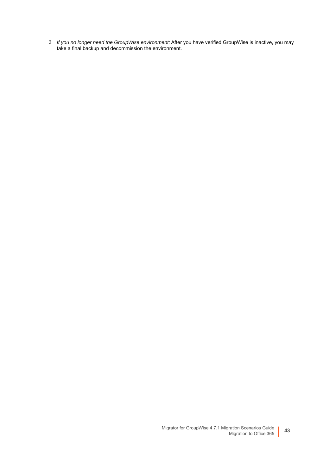3 *If you no longer need the GroupWise environment:* After you have verified GroupWise is inactive, you may take a final backup and decommission the environment.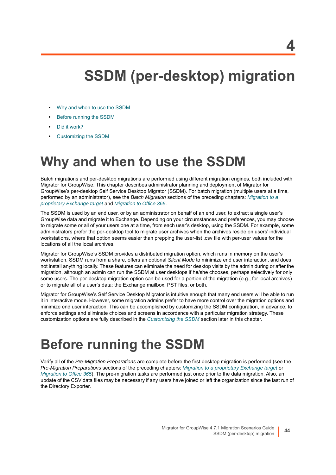## <span id="page-43-3"></span>**SSDM (per-desktop) migration**

- <span id="page-43-0"></span>**•** [Why and when to use the SSDM](#page-43-1)
- **•** [Before running the SSDM](#page-43-2)
- **•** [Did it work?](#page-45-1)
- **•** [Customizing the SSDM](#page-45-2)

## <span id="page-43-7"></span><span id="page-43-1"></span>**Why and when to use the SSDM**

Batch migrations and per-desktop migrations are performed using different migration engines, both included with Migrator for GroupWise. This chapter describes administrator planning and deployment of Migrator for GroupWise's per-desktop Self Service Desktop Migrator (SSDM). For batch migration (multiple users at a time, performed by an administrator), see the *Batch Migration* sections of the preceding chapters: *[Migration to a](#page-11-1)  [proprietary Exchange target](#page-11-1)* and *[Migration to Office 365](#page-25-2)*.

<span id="page-43-4"></span>The SSDM is used by an end user, or by an administrator on behalf of an end user, to extract a single user's GroupWise data and migrate it to Exchange. Depending on your circumstances and preferences, you may choose to migrate some or all of your users one at a time, from each user's desktop, using the SSDM. For example, some administrators prefer the per-desktop tool to migrate user archives when the archives reside on users' individual workstations, where that option seems easier than prepping the user-list .csv file with per-user values for the locations of all the local archives.

<span id="page-43-9"></span><span id="page-43-5"></span>Migrator for GroupWise's SSDM provides a distributed migration option, which runs in memory on the user's workstation. SSDM runs from a share, offers an optional *Silent Mode* to minimize end user interaction, and does not install anything locally. These features can eliminate the need for desktop visits by the admin during or after the migration, although an admin can run the SSDM at user desktops if he/she chooses, perhaps selectively for only some users. The per-desktop migration option can be used for a portion of the migration (e.g., for local archives) or to migrate all of a user's data: the Exchange mailbox, PST files, or both.

<span id="page-43-8"></span>Migrator for GroupWise's Self Service Desktop Migrator is intuitive enough that many end users will be able to run it in interactive mode. However, some migration admins prefer to have more control over the migration options and minimize end user interaction. This can be accomplished by customizing the SSDM configuration, in advance, to enforce settings and eliminate choices and screens in accordance with a particular migration strategy. These customization options are fully described in the *[Customizing the SSDM](#page-45-2)* section later in this chapter.

## <span id="page-43-2"></span>**Before running the SSDM**

<span id="page-43-6"></span>Verify all of the *Pre-Migration Preparations* are complete before the first desktop migration is performed (see the *Pre-Migration Preparations* sections of the preceding chapters: *[Migration to a proprietary Exchange target](#page-11-1)* or *[Migration to Office 365](#page-25-2)*). The pre-migration tasks are performed just once prior to the data migration. Also, an update of the CSV data files may be necessary if any users have joined or left the organization since the last run of the Directory Exporter.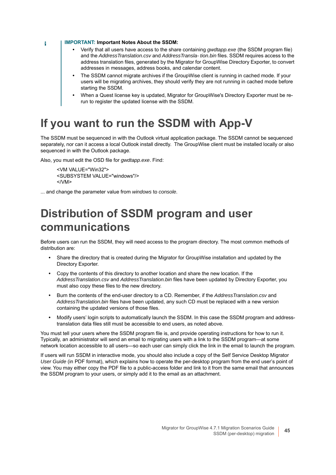**IMPORTANT: Important Notes About the SSDM:**

- **•** Verify that all users have access to the share containing *gwdtapp.exe* (the SSDM program file) and the *AddressTranslation.csv* and *AddressTransla- tion.bin* files. SSDM requires access to the address translation files, generated by the Migrator for GroupWise Directory Exporter, to convert addresses in messages, address books, and calendar content.
- <span id="page-44-5"></span>**•** The SSDM cannot migrate archives if the GroupWise client is running in cached mode. If your users will be migrating archives, they should verify they are not running in cached mode before starting the SSDM.
- <span id="page-44-9"></span><span id="page-44-4"></span>**•** When a Quest license key is updated, Migrator for GroupWise's Directory Exporter must be rerun to register the updated license with the SSDM.

## <span id="page-44-0"></span>**If you want to run the SSDM with App-V**

The SSDM must be sequenced in with the Outlook virtual application package. The SSDM cannot be sequenced separately, nor can it access a local Outlook install directly. The GroupWise client must be installed locally or also sequenced in with the Outlook package.

Also, you must edit the OSD file for *gwdtapp.exe*. Find:

```
<VM VALUE="Win32">
<SUBSYSTEM VALUE="windows"/>
</VM>
```
... and change the parameter value from *windows* to *console*.

## <span id="page-44-1"></span>**Distribution of SSDM program and user communications**

<span id="page-44-10"></span>Before users can run the SSDM, they will need access to the program directory. The most common methods of distribution are:

- **•** Share the directory that is created during the Migrator for GroupWise installation and updated by the Directory Exporter.
- <span id="page-44-3"></span><span id="page-44-2"></span>**•** Copy the contents of this directory to another location and share the new location. If the *AddressTranslation.csv* and *AddressTranslation.bin* files have been updated by Directory Exporter, you must also copy these files to the new directory.
- <span id="page-44-6"></span>**•** Burn the contents of the end-user directory to a CD. Remember, if the *AddressTranslation.csv* and *AddressTranslation.bin* files have been updated, any such CD must be replaced with a new version containing the updated versions of those files.
- **•** Modify users' login scripts to automatically launch the SSDM. In this case the SSDM program and addresstranslation data files still must be accessible to end users, as noted above.

<span id="page-44-7"></span>You must tell your users where the SSDM program file is, and provide operating instructions for how to run it. Typically, an administrator will send an email to migrating users with a link to the SSDM program—at some network location accessible to all users—so each user can simply click the link in the email to launch the program.

<span id="page-44-11"></span>If users will run SSDM in interactive mode, you should also include a copy of the Self Service Desktop Migrator *User Guide* (in PDF format), which explains how to operate the per-desktop program from the end user's point of view. You may either copy the PDF file to a public-access folder and link to it from the same email that announces the SSDM program to your users, or simply add it to the email as an attachment.

```
÷
```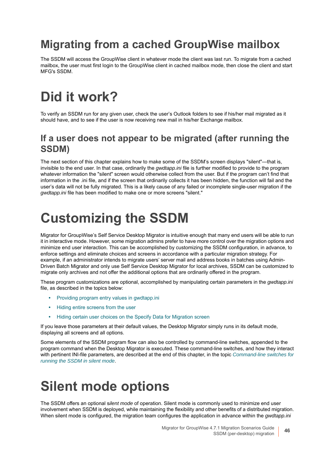## <span id="page-45-0"></span>**Migrating from a cached GroupWise mailbox**

The SSDM will access the GroupWise client in whatever mode the client was last run. To migrate from a cached mailbox, the user must first login to the GroupWise client in cached mailbox mode, then close the client and start MFG's SSDM.

# <span id="page-45-1"></span>**Did it work?**

To verify an SSDM run for any given user, check the user's Outlook folders to see if his/her mail migrated as it should have, and to see if the user is now receiving new mail in his/her Exchange mailbox.

### **If a user does not appear to be migrated (after running the SSDM)**

<span id="page-45-8"></span><span id="page-45-7"></span><span id="page-45-4"></span>The next section of this chapter explains how to make some of the SSDM's screen displays "silent"—that is, invisible to the end user. In that case, ordinarily the *gwdtapp.ini* file is further modified to provide to the program whatever information the "silent" screen would otherwise collect from the user. But if the program can't find that information in the .ini file, and if the screen that ordinarily collects it has been hidden, the function will fail and the user's data will not be fully migrated. This is a likely cause of any failed or incomplete single-user migration if the *gwdtapp.ini* file has been modified to make one or more screens "silent."

# <span id="page-45-2"></span>**Customizing the SSDM**

<span id="page-45-5"></span>Migrator for GroupWise's Self Service Desktop Migrator is intuitive enough that many end users will be able to run it in interactive mode. However, some migration admins prefer to have more control over the migration options and minimize end user interaction. This can be accomplished by customizing the SSDM configuration, in advance, to enforce settings and eliminate choices and screens in accordance with a particular migration strategy. For example, if an administrator intends to migrate users' server mail and address books in batches using Admin-Driven Batch Migrator and only use Self Service Desktop Migrator for local archives, SSDM can be customized to migrate only archives and not offer the additional options that are ordinarily offered in the program.

These program customizations are optional, accomplished by manipulating certain parameters in the *gwdtapp.ini* file, as described in the topics below:

- **•** [Providing program entry values in gwdtapp.ini](#page-46-0)
- **•** [Hiding entire screens from the user](#page-48-0)
- **•** [Hiding certain user choices on the Specify Data for Migration screen](#page-49-0)

If you leave those parameters at their default values, the Desktop Migrator simply runs in its default mode, displaying all screens and all options.

Some elements of the SSDM program flow can also be controlled by command-line switches, appended to the program command when the Desktop Migrator is executed. These command-line switches, and how they interact with pertinent INI-file parameters, are described at the end of this chapter, in the topic *[Command-line switches for](#page-50-0)  [running the SSDM in silent mode](#page-50-0)*.

## <span id="page-45-3"></span>**Silent mode options**

<span id="page-45-9"></span><span id="page-45-6"></span>The SSDM offers an optional s*ilent mode* of operation. Silent mode is commonly used to minimize end user involvement when SSDM is deployed, while maintaining the flexibility and other benefits of a distributed migration. When silent mode is configured, the migration team configures the application in advance within the *gwdtapp.ini*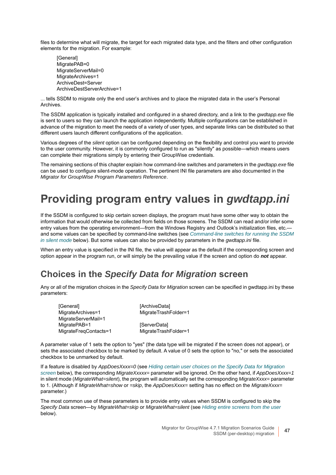files to determine what will migrate, the target for each migrated data type, and the filters and other configuration elements for the migration. For example:

[General] MigratePAB=0 MigrateServerMail=0 MigrateArchives=1 ArchiveDest=Server ArchiveDestServerArchive=1

... tells SSDM to migrate only the end user's archives and to place the migrated data in the user's Personal Archives.

The SSDM application is typically installed and configured in a shared directory, and a link to the *gwdtapp.exe* file is sent to users so they can launch the application independently. Multiple configurations can be established in advance of the migration to meet the needs of a variety of user types, and separate links can be distributed so that different users launch different configurations of the application.

Various degrees of the *silent* option can be configured depending on the flexibility and control you want to provide to the user community. However, it is commonly configured to run as "silently" as possible—which means users can complete their migrations simply by entering their GroupWise credentials.

The remaining sections of this chapter explain how command-line switches and parameters in the *gwdtapp.exe* file can be used to configure silent-mode operation. The pertinent INI file parameters are also documented in the *Migrator for GroupWise Program Parameters Reference*.

## <span id="page-46-3"></span><span id="page-46-0"></span>**Providing program entry values in** *gwdtapp.ini*

If the SSDM is configured to skip certain screen displays, the program must have some other way to obtain the information that would otherwise be collected from fields on those screens. The SSDM can read and/or infer some entry values from the operating environment—from the Windows Registry and Outlook's initialization files, etc.and some values can be specified by command-line switches (see *[Command-line switches for running the SSDM](#page-50-0)  [in silent mode](#page-50-0)* below). But some values can also be provided by parameters in the *gwdtapp.ini* file.

When an entry value is specified in the INI file, the value will appear as the default if the corresponding screen and option appear in the program run, or will simply be the prevailing value if the screen and option do *not* appear.

## <span id="page-46-1"></span>**Choices in the** *Specify Data for Migration* **screen**

Any or all of the migration choices in the *Specify Data for Migration* screen can be specified in gwdtapp.ini by these parameters:

<span id="page-46-4"></span>

| [General]             | [ArchiveData]        |
|-----------------------|----------------------|
| MigrateArchives=1     | MigrateTrashFolder=1 |
| MigrateServerMail=1   |                      |
| MigratePAB=1          | [ServerData]         |
| MigrateFreqContacts=1 | MigrateTrashFolder=1 |

A parameter value of 1 sets the option to "yes" (the data type will be migrated if the screen does not appear), or sets the associated checkbox to be marked by default. A value of 0 sets the option to "no," or sets the associated checkbox to be unmarked by default.

<span id="page-46-2"></span>If a feature is disabled by *AppDoesXxxx=0* (see *[Hiding certain user choices on the Specify Data for Migration](#page-49-0)  [screen](#page-49-0)* below), the corresponding *MigrateXxxxx=* parameter will be ignored. On the other hand, if *AppDoesXxxx=1* in silent mode (*MigrateWhat=silent*), the program will automatically set the corresponding *MigrateXxxx=* parameter to 1. (Although if *MigrateWhat=show* or *=skip*, the *AppDoesXxxx=* setting has no effect on the *MigrateXxxx=* parameter.)

The most common use of these parameters is to provide entry values when SSDM is configured to skip the *Specify Data* screen—by *MigrateWhat=skip* or *MigrateWhat=silent* (see *[Hiding entire screens from the user](#page-48-0)* below).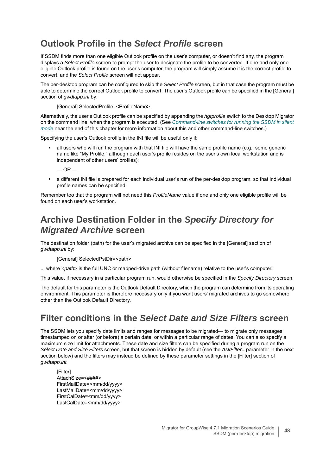## **Outlook Profile in the** *Select Profile* **screen**

If SSDM finds more than one eligible Outlook profile on the user's computer, or doesn't find any, the program displays a *Select Profile* screen to prompt the user to designate the profile to be converted. If one and only one eligible Outlook profile is found on the user's computer, the program will simply assume it is the correct profile to convert, and the *Select Profile* screen will not appear.

The per-desktop program can be configured to skip the *Select Profile* screen, but in that case the program must be able to determine the correct Outlook profile to convert. The user's Outlook profile can be specified in the [General] section of *gwdtapp.ini* by:

<span id="page-47-7"></span><span id="page-47-6"></span>[General] SelectedProfile=<ProfileName>

Alternatively, the user's Outlook profile can be specified by appending the */tgtprofile* switch to the Desktop Migrator on the command line, when the program is executed. (See *[Command-line switches for running the SSDM in silent](#page-50-0)  [mode](#page-50-0)* near the end of this chapter for more information about this and other command-line switches.)

Specifying the user's Outlook profile in the INI file will be useful only if:

**•** all users who will run the program with that INI file will have the same profile name (e.g., some generic name like "My Profile," although each user's profile resides on the user's own local workstation and is independent of other users' profiles);

 $-$  OR  $-$ 

**•** a different INI file is prepared for each individual user's run of the per-desktop program, so that individual profile names can be specified.

Remember too that the program will not need this *ProfileName* value if one and only one eligible profile will be found on each user's workstation.

## **Archive Destination Folder in the** *Specify Directory for Migrated Archive* **screen**

<span id="page-47-8"></span><span id="page-47-0"></span>The destination folder (path) for the user's migrated archive can be specified in the [General] section of *gwdtapp.ini* by:

[General] SelectedPstDir=<path>

... where *<path>* is the full UNC or mapped-drive path (without filename) relative to the user's computer.

This value, if necessary in a particular program run, would otherwise be specified in the *Specify Directory* screen.

The default for this parameter is the Outlook Default Directory, which the program can determine from its operating environment. This parameter is therefore necessary only if you want users' migrated archives to go somewhere other than the Outlook Default Directory.

## **Filter conditions in the** *Select Date and Size Filters* **screen**

<span id="page-47-9"></span><span id="page-47-5"></span><span id="page-47-4"></span><span id="page-47-2"></span>The SSDM lets you specify date limits and ranges for messages to be migrated— to migrate only messages timestamped on or after (or before) a certain date, or within a particular range of dates. You can also specify a maximum size limit for attachments. These date and size filters can be specified during a program run on the *Select Date and Size Filters* screen, but that screen is hidden by default (see the *AskFilter=* parameter in the next section below) and the filters may instead be defined by these parameter settings in the [Filter] section of *gwdtapp.ini*:

<span id="page-47-3"></span><span id="page-47-1"></span>[Filter] AttachSize=<####> FirstMailDate=<mm/dd/yyyy> LastMailDate=<mm/dd/yyyy> FirstCalDate=<mm/dd/yyyy> LastCalDate=<mm/dd/yyyy>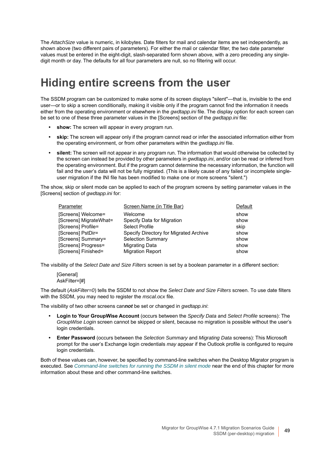The *AttachSize* value is numeric, in kilobytes. Date filters for mail and calendar items are set independently, as shown above (two different pairs of parameters). For either the mail or calendar filter, the two date parameter values must be entered in the eight-digit, slash-separated form shown above, with a zero preceding any singledigit month or day. The defaults for all four parameters are null, so no filtering will occur.

## <span id="page-48-0"></span>**Hiding entire screens from the user**

<span id="page-48-4"></span>The SSDM program can be customized to make some of its screen displays "silent"—that is, invisible to the end user—or to skip a screen conditionally, making it visible only if the program cannot find the information it needs either from the operating environment or elsewhere in the *gwdtapp.ini* file. The display option for each screen can be set to one of these three parameter values in the [Screens] section of the *gwdtapp.ini* file:

- <span id="page-48-3"></span>**show:** The screen will appear in every program run.
- **skip:** The screen will appear only if the program cannot read or infer the associated information either from the operating environment, or from other parameters within the *gwdtapp.ini* file.
- **silent:** The screen will not appear in any program run. The information that would otherwise be collected by the screen can instead be provided by other parameters in *gwdtapp.ini*, and/or can be read or inferred from the operating environment. But if the program cannot determine the necessary information, the function will fail and the user's data will not be fully migrated. (This is a likely cause of any failed or incomplete singleuser migration if the INI file has been modified to make one or more screens "silent.")

<span id="page-48-10"></span>The show, skip or silent mode can be applied to each of the program screens by setting parameter values in the [Screens] section of *gwdtapp.ini* for:

<span id="page-48-11"></span><span id="page-48-9"></span><span id="page-48-8"></span><span id="page-48-6"></span><span id="page-48-5"></span>

| Parameter              | Screen Name (in Title Bar)             | Default |
|------------------------|----------------------------------------|---------|
| [Screens] Welcome=     | Welcome                                | show    |
| [Screens] MigrateWhat= | Specify Data for Migration             | show    |
| [Screens] Profile=     | Select Profile                         | skip    |
| [Screens] PstDir=      | Specify Directory for Migrated Archive | show    |
| [Screens] Summary=     | <b>Selection Summary</b>               | show    |
| [Screens] Progress=    | <b>Migrating Data</b>                  | show    |
| [Screens] Finished=    | <b>Migration Report</b>                | show    |

The visibility of the *Select Date and Size Filters* screen is set by a boolean parameter in a different section:

<span id="page-48-7"></span><span id="page-48-2"></span><span id="page-48-1"></span>[General] AskFilter=[#]

The default (*AskFilter=0*) tells the SSDM to not show the *Select Date and Size Filters* screen. To use date filters with the SSDM, you may need to register the *mscal.ocx* file.

The visibility of two other screens can*not* be set or changed in *gwdtapp.ini*:

- **Login to Your GroupWise Account** (occurs between the *Specify Data* and *Select Profile* screens): The *GroupWise Login* screen cannot be skipped or silent, because no migration is possible without the user's login credentials.
- **Enter Password** (occurs between the *Selection Summary* and *Migrating Data* screens): This Microsoft prompt for the user's Exchange login credentials *may* appear if the Outlook profile is configured to require login credentials.

Both of these values can, however, be specified by command-line switches when the Desktop Migrator program is executed. See *[Command-line switches for running the SSDM in silent mode](#page-50-0)* near the end of this chapter for more information about these and other command-line switches.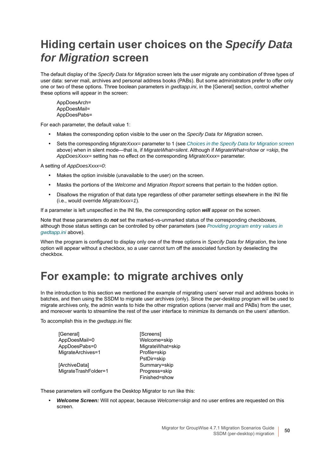## <span id="page-49-0"></span>**Hiding certain user choices on the** *Specify Data for Migration* **screen**

<span id="page-49-4"></span>The default display of the *Specify Data for Migration* screen lets the user migrate any combination of three types of user data: server mail, archives and personal address books (PABs). But some administrators prefer to offer only one or two of these options. Three boolean parameters in *gwdtapp.ini*, in the [General] section, control whether these options will appear in the screen:

<span id="page-49-3"></span>AppDoesArch= AppDoesMail= AppDoesPabs=

For each parameter, the default value 1:

- **•** Makes the corresponding option visible to the user on the *Specify Data for Migration* screen.
- <span id="page-49-5"></span><span id="page-49-2"></span>**•** Sets the corresponding *MigrateXxxx=* parameter to 1 (see *[Choices in the Specify Data for Migration screen](#page-46-1)* above) when in silent mode—that is, if *MigrateWhat=silent*. Although if *MigrateWhat=show* or *=skip*, the *AppDoesXxxx=* setting has no effect on the corresponding *MigrateXxxx=* parameter.

A setting of *AppDoesXxxx=0*:

- **•** Makes the option invisible (unavailable to the user) on the screen.
- **•** Masks the portions of the *Welcome* and *Migration Report* screens that pertain to the hidden option.
- **•** Disallows the migration of that data type regardless of other parameter settings elsewhere in the INI file (i.e., would override *MigrateXxxx=1*).

If a parameter is left unspecified in the INI file, the corresponding option *will* appear on the screen.

Note that these parameters do *not* set the marked-vs-unmarked status of the corresponding checkboxes, although those status settings can be controlled by other parameters (see *[Providing program entry values in](#page-46-0)  [gwdtapp.ini](#page-46-0)* above).

When the program is configured to display only one of the three options in *Specify Data for Migration*, the lone option will appear without a checkbox, so a user cannot turn off the associated function by deselecting the checkbox.

## <span id="page-49-1"></span>**For example: to migrate archives only**

<span id="page-49-6"></span>In the introduction to this section we mentioned the example of migrating users' server mail and address books in batches, and then using the SSDM to migrate user archives (only). Since the per-desktop program will be used to migrate archives only, the admin wants to hide the other migration options (server mail and PABs) from the user, and moreover wants to streamline the rest of the user interface to minimize its demands on the users' attention.

To accomplish this in the *gwdtapp.ini* file:

| [General]            | [Screens]        |
|----------------------|------------------|
| AppDoesMail=0        | Welcome=skip     |
| AppDoesPabs=0        | MigrateWhat=skip |
| MigrateArchives=1    | Profile=skip     |
|                      | PstDir=skip      |
| [ArchiveData]        | Summary=skip     |
| MigrateTrashFolder=1 | Progress=skip    |
|                      | Finished=show    |
|                      |                  |

These parameters will configure the Desktop Migrator to run like this:

**•** *Welcome Screen:* Will not appear, because *Welcome=skip* and no user entires are requested on this screen.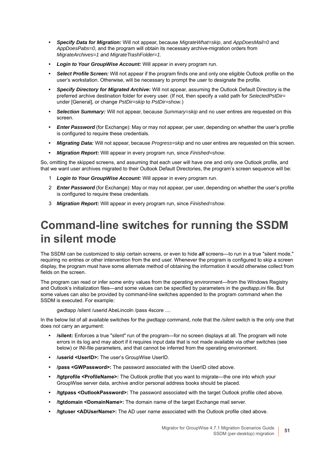- **•** *Specify Data for Migration:* Will not appear, because *MigrateWhat=skip*, and *AppDoesMail=0* and *AppDoesPabs=0*, and the program will obtain its necessary archive-migration orders from *MigrateArchives=1* and *MigrateTrashFolder=1*.
- **•** *Login to Your GroupWise Account:* Will appear in every program run.
- **•** *Select Profile Screen:* Will not appear if the program finds one and only one eligible Outlook profile on the user's workstation. Otherwise, will be necessary to prompt the user to designate the profile.
- <span id="page-50-2"></span>**•** *Specify Directory for Migrated Archive:* Will not appear, assuming the Outlook Default Directory is the preferred archive destination folder for every user. (If not, then specify a valid path for *SelectedPstDir=* under [General], or change *PstDir=skip* to *PstDir=show*.)
- **•** *Selection Summary:* Will not appear, because *Summary=skip* and no user entires are requested on this screen.
- **•** *Enter Password* (for Exchange): May or may not appear, per user, depending on whether the user's profile is configured to require these credentials.
- **•** *Migrating Data:* Will not appear, because *Progress=skip* and no user entires are requested on this screen.
- **•** *Migration Report:* Will appear in every program run, since *Finished=show*.

So, omitting the skipped screens, and assuming that each user will have one and only one Outlook profile, and that we want user archives migrated to their Outlook Default Directories, the program's screen sequence will be:

- 1 *Login to Your GroupWise Account:* Will appear in every program run.
- 2 *Enter Password* (for Exchange): May or may not appear, per user, depending on whether the user's profile is configured to require these credentials.
- 3 *Migration Report:* Will appear in every program run, since *Finished=show*.

## <span id="page-50-0"></span>**Command-line switches for running the SSDM in silent mode**

<span id="page-50-3"></span>The SSDM can be customized to skip certain screens, or even to hide *all* screens—to run in a true "silent mode," requiring no entries or other intervention from the end user. Whenever the program is configured to skip a screen display, the program must have some alternate method of obtaining the information it would otherwise collect from fields on the screen.

The program can read or infer some entry values from the operating environment—from the Windows Registry and Outlook's initialization files—and some values can be specified by parameters in the *gwdtapp.ini* file. But some values can also be provided by command-line switches appended to the program command when the SSDM is executed. For example:

<span id="page-50-4"></span><span id="page-50-1"></span>gwdtapp /silent /userid AbeLincoln /pass 4score ....

In the below list of all available switches for the *gwdtapp* command, note that the */silent* switch is the only one that does *not* carry an argument:

- **/silent:** Enforces a true "silent" run of the program—for no screen displays at all. The program will note errors in its log and may abort if it requires input data that is not made available via other switches (see below) or INI-file parameters, and that cannot be inferred from the operating environment.
- **/userid <UserID>:** The user's GroupWise UserID.
- **/pass <GWPassword>:** The password associated with the UserID cited above.
- **/tgtprofile <ProfileName>:** The Outlook profile that you want to migrate—the one into which your GroupWise server data, archive and/or personal address books should be placed.
- **/tgtpass <OutlookPassword>:** The password associated with the target Outlook profile cited above.
- **/tgtdomain <DomainName>:** The domain name of the target Exchange mail server.
- **/tgtuser <ADUserName>:** The AD user name associated with the Outlook profile cited above.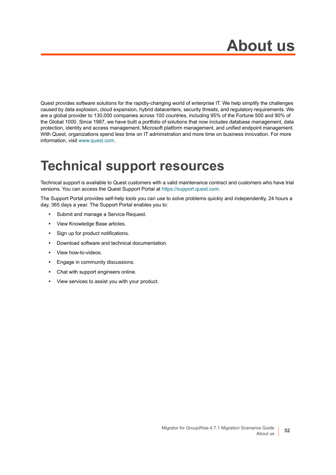# **About us**

<span id="page-51-0"></span>Quest provides software solutions for the rapidly-changing world of enterprise IT. We help simplify the challenges caused by data explosion, cloud expansion, hybrid datacenters, security threats, and regulatory requirements. We are a global provider to 130,000 companies across 100 countries, including 95% of the Fortune 500 and 90% of the Global 1000. Since 1987, we have built a portfolio of solutions that now includes database management, data protection, identity and access management, Microsoft platform management, and unified endpoint management. With Quest, organizations spend less time on IT administration and more time on business innovation. For more information, visit [www.quest.com](https://www.quest.com/company/contact-us.aspx).

## <span id="page-51-1"></span>**Technical support resources**

Technical support is available to Quest customers with a valid maintenance contract and customers who have trial versions. You can access the Quest Support Portal at [https://support.quest.com.](https://support.quest.com)

The Support Portal provides self-help tools you can use to solve problems quickly and independently, 24 hours a day, 365 days a year. The Support Portal enables you to:

- **•** Submit and manage a Service Request.
- **•** View Knowledge Base articles.
- **•** Sign up for product notifications.
- **•** Download software and technical documentation.
- **•** View how-to-videos.
- **•** Engage in community discussions.
- **•** Chat with support engineers online.
- **•** View services to assist you with your product.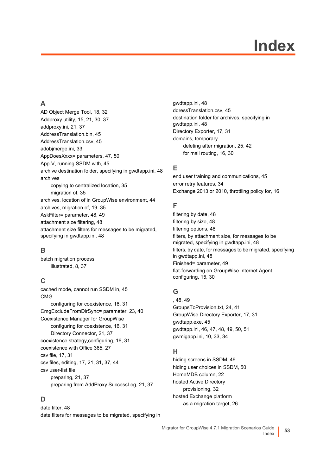# **Index**

### <span id="page-52-0"></span>**A**

[AD Object Merge Tool, 18,](#page-17-0) [32](#page-31-0) [Addproxy utility, 15,](#page-14-0) [21,](#page-20-0) [30,](#page-29-0) [37](#page-36-0) [addproxy.ini, 21,](#page-20-1) [37](#page-36-1) [AddressTranslation.bin, 45](#page-44-2) [AddressTranslation.csv, 45](#page-44-3) [adobjmerge.ini, 33](#page-32-0) [AppDoesXxxx= parameters, 47,](#page-46-2) [50](#page-49-2) [App-V, running SSDM with, 45](#page-44-4) [archive destination folder, specifying in gwdtapp.ini, 48](#page-47-0) archives [copying to centralized location, 35](#page-34-1) [migration of, 35](#page-34-1) [archives, location of in GroupWise environment, 44](#page-43-4) [archives, migration of, 19,](#page-18-1) [35](#page-34-2) [AskFilter= parameter, 48,](#page-47-1) [49](#page-48-1) [attachment size filtering, 48](#page-47-2) [attachment size filters for messages to be migrated,](#page-47-3)  specifying in gwdtapp.ini, 48

### **B**

batch migration process [illustrated, 8,](#page-7-0) [37](#page-36-2)

### **C**

[cached mode, cannot run SSDM in, 45](#page-44-5) CMG [configuring for coexistence, 16,](#page-15-0) [31](#page-30-0) [CmgExcludeFromDirSync= parameter, 23,](#page-22-0) [40](#page-39-0) Coexistence Manager for GroupWise [configuring for coexistence, 16,](#page-15-0) [31](#page-30-0) [Directory Connector, 21,](#page-20-2) [37](#page-36-3) [coexistence strategy,configuring, 16,](#page-15-1) [31](#page-30-1) [coexistence with Office 365, 27](#page-26-0) [csv file, 17,](#page-16-0) [31](#page-30-2) [csv files, editing, 17,](#page-16-1) [21,](#page-20-3) [31,](#page-30-3) [37,](#page-36-4) [44](#page-43-5) csv user-list file [preparing, 21,](#page-20-4) [37](#page-36-5) [preparing from AddProxy SuccessLog, 21,](#page-20-5) [37](#page-36-6)

### **D**

[date filter, 48](#page-47-4) [date filters for messages to be migrated, specifying in](#page-47-5)  [gwdtapp.ini, 48](#page-47-5) [ddressTranslation.csv, 45](#page-44-6) [destination folder for archives, specifying in](#page-47-0)  gwdtapp.ini, 48 [Directory Exporter, 17,](#page-16-2) [31](#page-30-4) domains, temporary [deleting after migration, 25,](#page-24-0) [42](#page-41-0) [for mail routing, 16,](#page-15-2) [30](#page-29-1)

### **E**

[end user training and communications, 45](#page-44-7) [error retry features, 34](#page-33-0) [Exchange 2013 or 2010, throttling policy for, 16](#page-15-3)

#### **F**

[filtering by date, 48](#page-47-4) [filtering by size, 48](#page-47-4) [filtering options, 48](#page-47-4) [filters, by attachment size, for messages to be](#page-47-3)  migrated, specifying in gwdtapp.ini, 48 [filters, by date, for messages to be migrated, specifying](#page-47-5)  in gwdtapp.ini, 48 [Finished= parameter, 49](#page-48-2) [flat-forwarding on GroupWise Internet Agent,](#page-14-1)  [configuring, 15,](#page-14-1) [30](#page-29-2)

### **G**

[, 48,](#page-47-1) [49](#page-48-1) [GroupsToProvision.txt, 24,](#page-23-1) [41](#page-40-1) [GroupWise Directory Exporter, 17,](#page-16-2) [31](#page-30-4) [gwdtapp.exe, 45](#page-44-8) [gwdtapp.ini, 46,](#page-45-4) [47,](#page-46-3) [48,](#page-47-6) [49,](#page-48-3) [50,](#page-49-3) [51](#page-50-1) [gwmigapp.ini, 10,](#page-9-2) [33,](#page-32-1) [34](#page-33-1)

### **H**

[hiding screens in SSDM, 49](#page-48-4) [hiding user choices in SSDM, 50](#page-49-4) [HomeMDB column, 22](#page-21-0) hosted Active Directory [provisioning, 32](#page-31-1) hosted Exchange platform [as a migration target, 26](#page-25-3)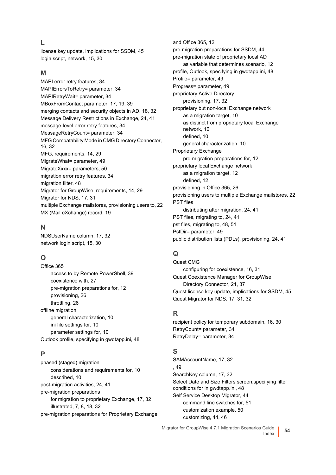#### **L**

[license key update, implications for SSDM, 45](#page-44-9) [login script, network, 15,](#page-14-2) [30](#page-29-3)

#### **M**

[MAPI error retry features, 34](#page-33-0) [MAPIErrorsToRetry= parameter, 34](#page-33-2) [MAPIRetryWait= parameter, 34](#page-33-3) [MBoxFromContact parameter, 17,](#page-16-3) [19,](#page-18-2) [39](#page-38-1) [merging contacts and security objects in AD, 18,](#page-17-1) [32](#page-31-2) [Message Delivery Restrictions in Exchange, 24,](#page-23-2) [41](#page-40-2) [message-level error retry features, 34](#page-33-4) [MessageRetryCount= parameter, 34](#page-33-5) [MFG Compatability Mode in CMG Directory Connector,](#page-15-4)  [16,](#page-15-4) [32](#page-31-3) [MFG, requirements, 14,](#page-13-0) [29](#page-28-0) [MigrateWhat= parameter, 49](#page-48-5) [MigrateXxxx= parameters, 50](#page-49-5) [migration error retry features, 34](#page-33-0) [migration filter, 48](#page-47-4) [Migrator for GroupWise, requirements, 14,](#page-13-0) [29](#page-28-0) [Migrator for NDS, 17,](#page-16-4) [31](#page-30-5) [multiple Exchange mailstores, provisioning users to, 22](#page-21-1) [MX \(Mail eXchange\) record, 19](#page-18-3)

#### **N**

[NDSUserName column, 17,](#page-16-5) [32](#page-31-4) [network login script, 15,](#page-14-2) [30](#page-29-3)

### **O**

Office 365 [access to by Remote PowerShell, 39](#page-38-2) [coexistence with, 27](#page-26-0) [pre-migration preparations for, 12](#page-11-2) [provisioning, 26](#page-25-4) [throttling, 26](#page-25-5) offline migration [general characterization, 10](#page-9-3) [ini file settings for, 10](#page-9-4) [parameter settings for, 10](#page-9-4) [Outlook profile, specifying in gwdtapp.ini, 48](#page-47-7)

#### **P**

phased (staged) migration [considerations and requirements for, 10](#page-9-5) [described, 10](#page-9-5) [post-migration activities, 24,](#page-23-3) [41](#page-40-3) pre-migration preparations [for migration to proprietary Exchange, 17,](#page-16-6) [32](#page-31-5) [illustrated, 7,](#page-6-0) [8,](#page-7-0) [18,](#page-17-2) [32](#page-31-6) [pre-migration preparations for Proprietary Exchange](#page-11-2)  [and Office 365, 12](#page-11-2) [pre-migration preparations for SSDM, 44](#page-43-6) pre-migration state of proprietary local AD [as variable that determines scenario, 12](#page-11-3) [profile, Outlook, specifying in gwdtapp.ini, 48](#page-47-7) [Profile= parameter, 49](#page-48-6) [Progress= parameter, 49](#page-48-7) proprietary Active Directory [provisioning, 17,](#page-16-7) [32](#page-31-7) proprietary but non-local Exchange network [as a migration target, 10](#page-9-3) [as distinct from proprietary local Exchange](#page-9-3)  network, 10 [defined, 10](#page-9-3) [general characterization, 10](#page-9-3) Proprietary Exchange [pre-migration preparations for, 12](#page-11-2) proprietary local Exchange network [as a migration target, 12](#page-11-2) [defined, 12](#page-11-2) [provisioning in Office 365, 26](#page-25-4) [provisioning users to multiple Exchange mailstores, 22](#page-21-1) PST files [distributing after migration, 24,](#page-23-4) [41](#page-40-4) [PST files, migrating to, 24,](#page-23-5) [41](#page-40-5) [pst files, migrating to, 48,](#page-47-8) [51](#page-50-2) [PstDir= parameter, 49](#page-48-8) [public distribution lists \(PDLs\), provisioning, 24,](#page-23-6) [41](#page-40-6)

### **Q**

Quest CMG [configuring for coexistence, 16,](#page-15-0) [31](#page-30-0) Quest Coexistence Manager for GroupWise [Directory Connector, 21,](#page-20-2) [37](#page-36-3) [Quest license key update, implications for SSDM, 45](#page-44-9) [Quest Migrator for NDS, 17,](#page-16-4) [31,](#page-30-5) [32](#page-31-8)

#### **R**

[recipient policy for temporary subdomain, 16,](#page-15-5) [30](#page-29-4) [RetryCount= parameter, 34](#page-33-6) [RetryDelay= parameter, 34](#page-33-7)

#### **S**

[SAMAccountName, 17,](#page-16-8) [32](#page-31-9) [, 49](#page-48-9) [SearchKey column, 17,](#page-16-9) [32](#page-31-10) [Select Date and Size Filters screen,specifying filter](#page-47-9)  conditions for in gwdtapp.ini, 48 [Self Service Desktop Migrator, 44](#page-43-7) [command line switches for, 51](#page-50-3) [customization example, 50](#page-49-6) [customizing, 44,](#page-43-8) [46](#page-45-5)

Migrator for GroupWise 4.7.1 Migration Scenarios Guide Index **<sup>54</sup>**